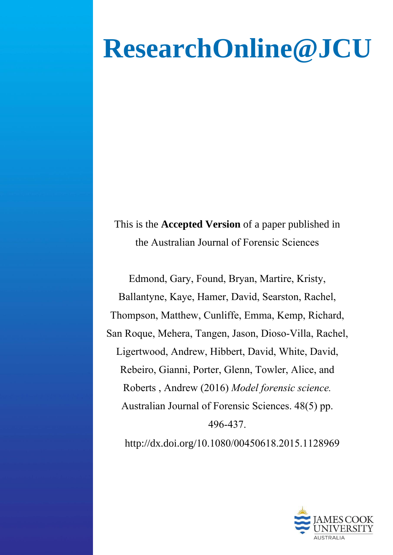# **ResearchOnline@JCU**

This is the **Accepted Version** of a paper published in the Australian Journal of Forensic Sciences

Edmond, Gary, Found, Bryan, Martire, Kristy, Ballantyne, Kaye, Hamer, David, Searston, Rachel, Thompson, Matthew, Cunliffe, Emma, Kemp, Richard, San Roque, Mehera, Tangen, Jason, Dioso-Villa, Rachel, Ligertwood, Andrew, Hibbert, David, White, David, Rebeiro, Gianni, Porter, Glenn, Towler, Alice, and Roberts , Andrew (2016) *Model forensic science.* Australian Journal of Forensic Sciences. 48(5) pp. 496-437.

http://dx.doi.org/10.1080/00450618.2015.1128969

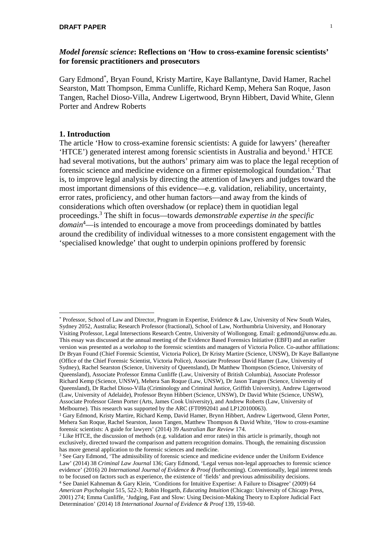# *Model forensic science***: Reflections on 'How to cross-examine forensic scientists' for forensic practitioners and prosecutors**

Gary Edmond\* , Bryan Found, Kristy Martire, Kaye Ballantyne, David Hamer, Rachel Searston, Matt Thompson, Emma Cunliffe, Richard Kemp, Mehera San Roque, Jason Tangen, Rachel Dioso-Villa, Andrew Ligertwood, Brynn Hibbert, David White, Glenn Porter and Andrew Roberts

# **1. Introduction**

The article 'How to cross-examine forensic scientists: A guide for lawyers' (hereafter 'HTCE') generated interest among forensic scientists in Australia and beyond.<sup>1</sup> HTCE had several motivations, but the authors' primary aim was to place the legal reception of forensic science and medicine evidence on a firmer epistemological foundation.<sup>2</sup> That is, to improve legal analysis by directing the attention of lawyers and judges toward the most important dimensions of this evidence—e.g. validation, reliability, uncertainty, error rates, proficiency, and other human factors—and away from the kinds of considerations which often overshadow (or replace) them in quotidian legal proceedings.<sup>3</sup> The shift in focus—towards *demonstrable expertise in the specific domain*<sup>4</sup> —is intended to encourage a move from proceedings dominated by battles around the credibility of individual witnesses to a more consistent engagement with the 'specialised knowledge' that ought to underpin opinions proffered by forensic

\* Professor, School of Law and Director, Program in Expertise, Evidence & Law, University of New South Wales, Sydney 2052, Australia; Research Professor (fractional), School of Law, Northumbria University, and Honorary Visiting Professor, Legal Intersections Research Centre, University of Wollongong. Email: g.edmond@unsw.edu.au. This essay was discussed at the annual meeting of the Evidence Based Forensics Initiative (EBFI) and an earlier version was presented as a workshop to the forensic scientists and managers of Victoria Police. Co-author affiliations: Dr Bryan Found (Chief Forensic Scientist, Victoria Police), Dr Kristy Martire (Science, UNSW), Dr Kaye Ballantyne (Office of the Chief Forensic Scientist, Victoria Police), Associate Professor David Hamer (Law, University of Sydney), Rachel Searston (Science, University of Queensland), Dr Matthew Thompson (Science, University of Queensland), Associate Professor Emma Cunliffe (Law, University of British Columbia), Associate Professor Richard Kemp (Science, UNSW), Mehera San Roque (Law, UNSW), Dr Jason Tangen (Science, University of Queensland), Dr Rachel Dioso-Villa (Criminology and Criminal Justice, Griffith University), Andrew Ligertwood (Law, University of Adelaide), Professor Brynn Hibbert (Science, UNSW), Dr David White (Science, UNSW), Associate Professor Glenn Porter (Arts, James Cook University), and Andrew Roberts (Law, University of Melbourne). This research was supported by the ARC (FT0992041 and LP120100063).

<sup>1</sup> Gary Edmond, Kristy Martire, Richard Kemp, David Hamer, Brynn Hibbert, Andrew Ligertwood, Glenn Porter, Mehera San Roque, Rachel Searston, Jason Tangen, Matthew Thompson & David White, 'How to cross-examine forensic scientists: A guide for lawyers' (2014) 39 *Australian Bar Review* 174.

<sup>&</sup>lt;sup>2</sup> Like HTCE, the discussion of methods (e.g. validation and error rates) in this article is primarily, though not exclusively, directed toward the comparison and pattern recognition domains. Though, the remaining discussion has more general application to the forensic sciences and medicine.

<sup>&</sup>lt;sup>3</sup> See Gary Edmond, 'The admissibility of forensic science and medicine evidence under the Uniform Evidence Law' (2014) 38 *Criminal Law Journal* 136; Gary Edmond, 'Legal versus non-legal approaches to forensic science evidence' (2016) 20 *International Journal of Evidence & Proof* (forthcoming). Conventionally, legal interest tends to be focused on factors such as experience, the existence of 'fields' and previous admissibility decisions.

<sup>4</sup> See Daniel Kahneman & Gary Klein, 'Conditions for Intuitive Expertise: A Failure to Disagree' (2009) 64 *American Psychologist* 515, 522-3; Robin Hogarth, *Educating Intuition* (Chicago: University of Chicago Press, 2001) 274; Emma Cunliffe, 'Judging, Fast and Slow: Using Decision-Making Theory to Explore Judicial Fact Determination' (2014) 18 *International Journal of Evidence & Proof* 139, 159-60.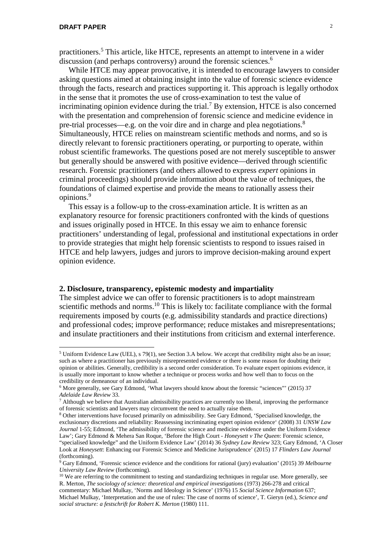practitioners. <sup>5</sup> This article, like HTCE, represents an attempt to intervene in a wider discussion (and perhaps controversy) around the forensic sciences.<sup>6</sup>

While HTCE may appear provocative, it is intended to encourage lawyers to consider asking questions aimed at obtaining insight into the value of forensic science evidence through the facts, research and practices supporting it. This approach is legally orthodox in the sense that it promotes the use of cross-examination to test the value of incriminating opinion evidence during the trial. <sup>7</sup> By extension, HTCE is also concerned with the presentation and comprehension of forensic science and medicine evidence in pre-trial processes—e.g. on the voir dire and in charge and plea negotiations.<sup>8</sup> Simultaneously, HTCE relies on mainstream scientific methods and norms, and so is directly relevant to forensic practitioners operating, or purporting to operate, within robust scientific frameworks. The questions posed are not merely susceptible to answer but generally should be answered with positive evidence—derived through scientific research. Forensic practitioners (and others allowed to express *expert* opinions in criminal proceedings) should provide information about the value of techniques, the foundations of claimed expertise and provide the means to rationally assess their opinions. 9

This essay is a follow-up to the cross-examination article. It is written as an explanatory resource for forensic practitioners confronted with the kinds of questions and issues originally posed in HTCE. In this essay we aim to enhance forensic practitioners' understanding of legal, professional and institutional expectations in order to provide strategies that might help forensic scientists to respond to issues raised in HTCE and help lawyers, judges and jurors to improve decision-making around expert opinion evidence.

## **2. Disclosure, transparency, epistemic modesty and impartiality**

The simplest advice we can offer to forensic practitioners is to adopt mainstream scientific methods and norms.<sup>10</sup> This is likely to: facilitate compliance with the formal requirements imposed by courts (e.g. admissibility standards and practice directions) and professional codes; improve performance; reduce mistakes and misrepresentations; and insulate practitioners and their institutions from criticism and external interference.

*social structure: a festschrift for Robert K. Merton* (1980) 111.

<sup>&</sup>lt;sup>5</sup> Uniform Evidence Law (UEL), s 79(1), see Section 3.A below. We accept that credibility might also be an issue; such as where a practitioner has previously misrepresented evidence or there is some reason for doubting their opinion or abilities. Generally, credibility is a second order consideration. To evaluate expert opinions evidence, it is usually more important to know whether a technique or process works and how well than to focus on the credibility or demeanour of an individual.

<sup>6</sup> More generally, see Gary Edmond, 'What lawyers should know about the forensic "sciences"' (2015) 37 *Adelaide Law Review* 33.

<sup>7</sup> Although we believe that Australian admissibility practices are currently too liberal, improving the performance of forensic scientists and lawyers may circumvent the need to actually raise them.

<sup>8</sup> Other interventions have focused primarily on admissibility. See Gary Edmond, ['Specialised knowledge, the](http://www.law.unsw.edu.au/staff/edmondg/docs/Specialised-know-UNSWLJ.pdf)  [exclusionary discretions and reliability: Reassessing incriminating expert opinion evidence'](http://www.law.unsw.edu.au/staff/edmondg/docs/Specialised-know-UNSWLJ.pdf) (2008) 31 *UNSW Law Journal* 1-55; Edmond, 'The admissibility of forensic science and medicine evidence under the Uniform Evidence Law'; Gary Edmond & Mehera San Roque, 'Before the High Court - *Honeysett v The Queen*: Forensic science, "specialised knowledge" and the Uniform Evidence Law' (2014) 36 *Sydney Law Review* 323; Gary Edmond, 'A Closer Look at *Honeysett*: Enhancing our Forensic Science and Medicine Jurisprudence' (2015) 17 *Flinders Law Journal* (forthcoming).

<sup>9</sup> Gary Edmond, 'Forensic science evidence and the conditions for rational (jury) evaluation' (2015) 39 *Melbourne University Law Review* (forthcoming).

<sup>&</sup>lt;sup>10</sup> We are referring to the commitment to testing and standardizing techniques in regular use. More generally, see R. Merton, *The sociology of science: theoretical and empirical investigations* (1973) 266-278 and critical commentary: Michael Mulkay, 'Norms and Ideology in Science' (1976) 15 *Social Science Information* 637; Michael Mulkay, 'Interpretation and the use of rules: The case of norms of science'*,* T. Gieryn (ed.), *Science and*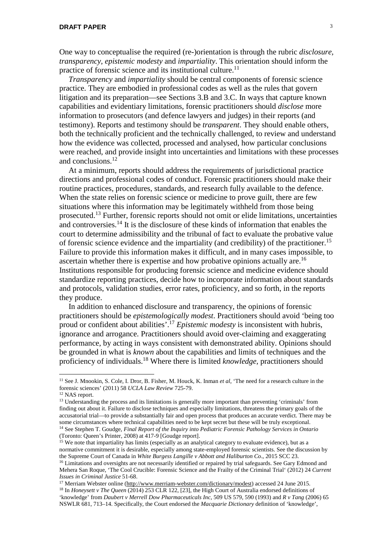One way to conceptualise the required (re-)orientation is through the rubric *disclosure, transparency, epistemic modesty* and *impartiality*. This orientation should inform the practice of forensic science and its institutional culture.<sup>11</sup>

*Transparency* and *impartiality* should be central components of forensic science practice. They are embodied in professional codes as well as the rules that govern litigation and its preparation—see Sections 3.B and 3.C. In ways that capture known capabilities and evidentiary limitations, forensic practitioners should *disclose* more information to prosecutors (and defence lawyers and judges) in their reports (and testimony). Reports and testimony should be *transparent*. They should enable others, both the technically proficient and the technically challenged, to review and understand how the evidence was collected, processed and analysed, how particular conclusions were reached, and provide insight into uncertainties and limitations with these processes and conclusions. 12

At a minimum, reports should address the requirements of jurisdictional practice directions and professional codes of conduct. Forensic practitioners should make their routine practices, procedures, standards, and research fully available to the defence. When the state relies on forensic science or medicine to prove guilt, there are few situations where this information may be legitimately withheld from those being prosecuted. <sup>13</sup> Further, forensic reports should not omit or elide limitations, uncertainties and controversies. <sup>14</sup> It is the disclosure of these kinds of information that enables the court to determine admissibility and the tribunal of fact to evaluate the probative value of forensic science evidence and the impartiality (and credibility) of the practitioner. 15 Failure to provide this information makes it difficult, and in many cases impossible, to ascertain whether there is expertise and how probative opinions actually are.<sup>16</sup> Institutions responsible for producing forensic science and medicine evidence should standardize reporting practices, decide how to incorporate information about standards and protocols, validation studies, error rates, proficiency, and so forth, in the reports they produce.

In addition to enhanced disclosure and transparency, the opinions of forensic practitioners should be *epistemologically modest*. Practitioners should avoid 'being too proud or confident about abilities'. <sup>17</sup> *Epistemic modesty* is inconsistent with hubris, ignorance and arrogance. Practitioners should avoid over-claiming and exaggerating performance, by acting in ways consistent with demonstrated ability. Opinions should be grounded in what is *known* about the capabilities and limits of techniques and the proficiency of individuals.18 Where there is limited *knowledge,* practitioners should

<sup>11</sup> See J. Mnookin, S. Cole, I. Dror, B. Fisher, M. Houck, K. Inman *et al*, 'The need for a research culture in the forensic sciences' (2011) 58 *UCLA Law Review* 725-79.

<sup>&</sup>lt;sup>12</sup> NAS report.

<sup>&</sup>lt;sup>13</sup> Understanding the process and its limitations is generally more important than preventing 'criminals' from finding out about it. Failure to disclose techniques and especially limitations, threatens the primary goals of the accusatorial trial—to provide a substantially fair and open process that produces an accurate verdict. There may be some circumstances where technical capabilities need to be kept secret but these will be truly exceptional. <sup>14</sup> See Stephen T. Goudge, *Final Report of the Inquiry into Pediatric Forensic Pathology Services in Ontario*  (Toronto: Queen's Printer, 2008) at 417-9 [Goudge report].

<sup>&</sup>lt;sup>15</sup> We note that impartiality has limits (especially as an analytical category to evaluate evidence), but as a normative commitment it is desirable, especially among state-employed forensic scientists. See the discussion by the Supreme Court of Canada in *White Burgess Langille v Abbott and Haliburton Co*., 2015 SCC 23. <sup>16</sup> Limitations and oversights are not necessarily identified or repaired by trial safeguards. See Gary Edmond and Mehera San Roque, ['The Cool Crucible: Forensic Science and the Frailty of the Criminal Trial'](http://www.law.unsw.edu.au/sites/law.unsw.edu.au/files/docs/posts/cool_crucible.pdf) (2012) 24 *Current Issues in Criminal Justice* 51-68.

<sup>17</sup> Merriam Webster online [\(http://www.merriam-webster.com/dictionary/modest\)](http://www.merriam-webster.com/dictionary/modest) accessed 24 June 2015. <sup>18</sup> In *Honeysett v The Queen* (2014) 253 CLR 122, [23], the High Court of Australia endorsed definitions of 'knowledge' from *Daubert v Merrell Dow Pharmaceuticals Inc*, 509 US 579, 590 (1993) and *R v Tang* (2006) 65 NSWLR 681, 713–14. Specifically, the Court endorsed the *Macquarie Dictionary* definition of 'knowledge',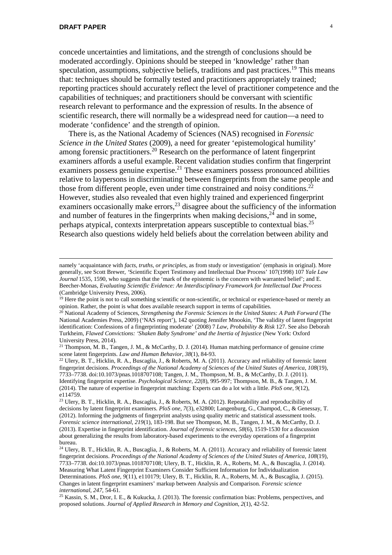concede uncertainties and limitations, and the strength of conclusions should be moderated accordingly. Opinions should be steeped in 'knowledge' rather than speculation, assumptions, subjective beliefs, traditions and past practices.<sup>19</sup> This means that: techniques should be formally tested and practitioners appropriately trained; reporting practices should accurately reflect the level of practitioner competence and the capabilities of techniques; and practitioners should be conversant with scientific research relevant to performance and the expression of results. In the absence of scientific research, there will normally be a widespread need for caution—a need to moderate 'confidence' and the strength of opinion.

There is, as the National Academy of Sciences (NAS) recognised in *Forensic Science in the United States* (2009), a need for greater 'epistemological humility' among forensic practitioners.<sup>20</sup> Research on the performance of latent fingerprint examiners affords a useful example.Recent validation studies confirm that fingerprint examiners possess genuine expertise.<sup>21</sup> These examiners possess pronounced abilities relative to laypersons in discriminating between fingerprints from the same people and those from different people, even under time constrained and noisy conditions.<sup>22</sup> However, studies also revealed that even highly trained and experienced fingerprint examiners occasionally make errors,<sup>23</sup> disagree about the sufficiency of the information and number of features in the fingerprints when making decisions, <sup>24</sup> and in some, perhaps atypical, contexts interpretation appears susceptible to contextual bias. 25 Research also questions widely held beliefs about the correlation between ability and

namely 'acquaintance with *facts, truths, or principles*, as from study or investigation' (emphasis in original). More generally, see Scott Brewer, *'*Scientific Expert Testimony and Intellectual Due Process' 107(1998) 107 *Yale Law Journal* 1535, 1590, who suggests that the 'mark of the epistemic is the concern with warranted belief'; and E. Beecher-Monas, *Evaluating Scientific Evidence: An Interdisciplinary Framework for Intellectual Due Process* (Cambridge University Press, 2006).

<sup>&</sup>lt;sup>19</sup> Here the point is not to call something scientific or non-scientific, or technical or experience-based or merely an opinion. Rather, the point is what does available research support in terms of capabilities.

<sup>20</sup> National Academy of Sciences, *Strengthening the Forensic Sciences in the United States: A Path Forward* (The National Academies Press, 2009) ('NAS report'), 142 quoting Jennifer Mnookin, 'The validity of latent fingerprint identification: Confessions of a fingerprinting moderate' (2008) 7 *Law, Probability & Risk* 127. See also Deborah Turkheim, *Flawed Convictions: 'Shaken Baby Syndrome' and the Inertia of Injustice* (New York: Oxford University Press, 2014).

<sup>21</sup> Thompson, M. B., Tangen, J. M., & McCarthy, D. J. (2014). Human matching performance of genuine crime scene latent fingerprints. *Law and Human Behavior*, *38*(1), 84-93.

 $22$  Ulery, B. T., Hicklin, R. A., Buscaglia, J., & Roberts, M. A. (2011). Accuracy and reliability of forensic latent fingerprint decisions. *Proceedings of the National Academy of Sciences of the United States of America*, *108*(19), 7733–7738. doi:10.1073/pnas.1018707108; Tangen, J. M., Thompson, M. B., & McCarthy, D. J. (2011). Identifying fingerprint expertise. *Psychological Science*, *22*(8), 995-997; Thompson, M. B., & Tangen, J. M. (2014). The nature of expertise in fingerprint matching: Experts can do a lot with a little. *PloS one*, *9*(12), e114759.

<sup>&</sup>lt;sup>23</sup> Ulery, B. T., Hicklin, R. A., Buscaglia, J., & Roberts, M. A. (2012). Repeatability and reproducibility of decisions by latent fingerprint examiners. *PloS one*, *7*(3), e32800; Langenburg, G., Champod, C., & Genessay, T. (2012). Informing the judgments of fingerprint analysts using quality metric and statistical assessment tools. *Forensic science international*, *219*(1), 183-198. But see Thompson, M. B., Tangen, J. M., & McCarthy, D. J. (2013). Expertise in fingerprint identification. *Journal of forensic sciences*, *58*(6), 1519-1530 for a discussion about generalizing the results from laboratory-based experiments to the everyday operations of a fingerprint bureau.

<sup>24</sup> Ulery, B. T., Hicklin, R. A., Buscaglia, J., & Roberts, M. A. (2011). Accuracy and reliability of forensic latent fingerprint decisions. *Proceedings of the National Academy of Sciences of the United States of America*, *108*(19), 7733–7738. doi:10.1073/pnas.1018707108; Ulery, B. T., Hicklin, R. A., Roberts, M. A., & Buscaglia, J. (2014). Measuring What Latent Fingerprint Examiners Consider Sufficient Information for Individualization

Determinations. *PloS one*, *9*(11), e110179; Ulery, B. T., Hicklin, R. A., Roberts, M. A., & Buscaglia, J. (2015). Changes in latent fingerprint examiners' markup between Analysis and Comparison. *Forensic science international*, *247*, 54-61.

<sup>25</sup> Kassin, S. M., Dror, I. E., & Kukucka, J. (2013). The forensic confirmation bias: Problems, perspectives, and proposed solutions. *Journal of Applied Research in Memory and Cognition*, *2*(1), 42-52.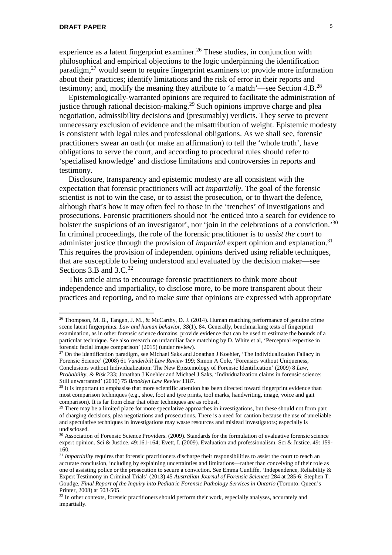experience as a latent fingerprint examiner.<sup>26</sup> These studies, in conjunction with philosophical and empirical objections to the logic underpinning the identification paradigm, <sup>27</sup> would seem to require fingerprint examiners to: provide more information about their practices; identify limitations and the risk of error in their reports and testimony; and, modify the meaning they attribute to 'a match'—see Section 4.B.<sup>28</sup>

Epistemologically-warranted opinions are required to facilitate the administration of justice through rational decision-making.<sup>29</sup> Such opinions improve charge and plea negotiation, admissibility decisions and (presumably) verdicts. They serve to prevent unnecessary exclusion of evidence and the misattribution of weight. Epistemic modesty is consistent with legal rules and professional obligations. As we shall see, forensic practitioners swear an oath (or make an affirmation) to tell the 'whole truth', have obligations to serve the court, and according to procedural rules should refer to 'specialised knowledge' and disclose limitations and controversies in reports and testimony.

Disclosure, transparency and epistemic modesty are all consistent with the expectation that forensic practitioners will act *impartially*. The goal of the forensic scientist is not to win the case, or to assist the prosecution, or to thwart the defence, although that's how it may often feel to those in the 'trenches' of investigations and prosecutions. Forensic practitioners should not 'be enticed into a search for evidence to bolster the suspicions of an investigator', nor 'join in the celebrations of a conviction.'30 In criminal proceedings, the role of the forensic practitioner is to *assist the court* to administer justice through the provision of *impartial* expert opinion and explanation. 31 This requires the provision of independent opinions derived using reliable techniques, that are susceptible to being understood and evaluated by the decision maker—see Sections 3.B and 3.C.<sup>32</sup>

This article aims to encourage forensic practitioners to think more about independence and impartiality, to disclose more, to be more transparent about their practices and reporting, and to make sure that opinions are expressed with appropriate

<sup>26</sup> Thompson, M. B., Tangen, J. M., & McCarthy, D. J. (2014). Human matching performance of genuine crime scene latent fingerprints. *Law and human behavior*, *38*(1), 84. Generally, benchmarking tests of fingerprint examination, as in other forensic science domains, provide evidence that can be used to estimate the bounds of a particular technique. See also research on unfamiliar face matching by D. White et al, 'Perceptual expertise in forensic facial image comparison' (2015) (under review).

<sup>&</sup>lt;sup>27</sup> On the identification paradigm, see Michael Saks and Jonathan J Koehler, 'The Individualization Fallacy in Forensic Science' (2008) 61 *Vanderbilt Law Review* 199; Simon A Cole, 'Forensics without Uniqueness, Conclusions without Individualization: The New Epistemology of Forensic Identification' (2009) 8 *Law, Probability, & Risk* 233; Jonathan J Koehler and Michael J Saks, 'Individualization claims in forensic science: Still unwarranted' (2010) 75 *Brooklyn Law Review* 1187.

 $2<sup>28</sup>$  It is important to emphasise that more scientific attention has been directed toward fingerprint evidence than most comparison techniques (e.g., shoe, foot and tyre prints, tool marks, handwriting, image, voice and gait comparison). It is far from clear that other techniques are as robust.

<sup>&</sup>lt;sup>29</sup> There may be a limited place for more speculative approaches in investigations, but these should not form part of charging decisions, plea negotiations and prosecutions. There is a need for caution because the use of unreliable and speculative techniques in investigations may waste resources and mislead investigators; especially is undisclosed.

<sup>&</sup>lt;sup>30</sup> Association of Forensic Science Providers. (2009). Standards for the formulation of evaluative forensic science expert opinion. Sci & Justice. 49:161-164; Evett, I. (2009). Evaluation and professionalism. Sci & Justice. 49: 159- 160.

<sup>&</sup>lt;sup>31</sup> *Impartiality* requires that forensic practitioners discharge their responsibilities to assist the court to reach an accurate conclusion, including by explaining uncertainties and limitations—rather than conceiving of their role as one of assisting police or the prosecution to secure a conviction. See Emma Cunliffe, 'Independence, Reliability & Expert Testimony in Criminal Trials' (2013) 45 *Australian Journal of Forensic Sciences* 284 at 285-6; Stephen T. Goudge, Final Report of the Inquiry into Pediatric Forensic Pathology Services in Ontario (Toronto: Queen's Printer, 2008) at 503-505.

<sup>&</sup>lt;sup>32</sup> In other contexts, forensic practitioners should perform their work, especially analyses, accurately and impartially.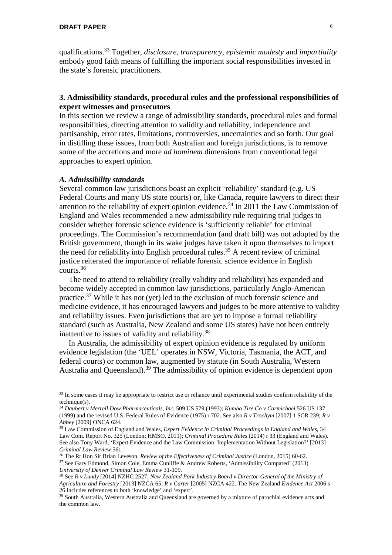qualifications. <sup>33</sup> Together, *disclosure, transparency, epistemic modesty* and *impartiality* embody good faith means of fulfilling the important social responsibilities invested in the state's forensic practitioners.

# **3. Admissibility standards, procedural rules and the professional responsibilities of expert witnesses and prosecutors**

In this section we review a range of admissibility standards, procedural rules and formal responsibilities, directing attention to validity and reliability, independence and partisanship, error rates, limitations, controversies, uncertainties and so forth. Our goal in distilling these issues, from both Australian and foreign jurisdictions, is to remove some of the accretions and more *ad hominem* dimensions from conventional legal approaches to expert opinion.

## *A. Admissibility standards*

Several common law jurisdictions boast an explicit 'reliability' standard (e.g. US Federal Courts and many US state courts) or, like Canada, require lawyers to direct their attention to the reliability of expert opinion evidence. <sup>34</sup> In 2011 the Law Commission of England and Wales recommended a new admissibility rule requiring trial judges to consider whether forensic science evidence is 'sufficiently reliable' for criminal proceedings. The Commission's recommendation (and draft bill) was not adopted by the British government, though in its wake judges have taken it upon themselves to import the need for reliability into English procedural rules.<sup>35</sup> A recent review of criminal justice reiterated the importance of reliable forensic science evidence in English courts. 36

The need to attend to reliability (really validity and reliability) has expanded and become widely accepted in common law jurisdictions, particularly Anglo-American practice.<sup>37</sup> While it has not (yet) led to the exclusion of much forensic science and medicine evidence, it has encouraged lawyers and judges to be more attentive to validity and reliability issues. Even jurisdictions that are yet to impose a formal reliability standard (such as Australia, New Zealand and some US states) have not been entirely inattentive to issues of validity and reliability.<sup>38</sup>

In Australia, the admissibility of expert opinion evidence is regulated by uniform evidence legislation (the 'UEL' operates in NSW, Victoria, Tasmania, the ACT, and federal courts) or common law, augmented by statute (in South Australia, Western Australia and Queensland).<sup>39</sup> The admissibility of opinion evidence is dependent upon

<sup>&</sup>lt;sup>33</sup> In some cases it may be appropriate to restrict use or reliance until experimental studies confirm reliability of the technique(s).

<sup>34</sup> *Daubert v Merrell Dow Pharmaceuticals, Inc.* 509 US 579 (1993); *Kumho Tire Co v Carmichael* 526 US 137 (1999) and the revised U.S. Federal Rules of Evidence (1975) r 702. See also *R v Trochym* [2007] 1 SCR 239; *R v Abbey* [2009] ONCA 624.

<sup>35</sup> Law Commission of England and Wales, *Expert Evidence in Criminal Proceedings in England and Wales*, 34 Law Com. Report No. 325 (London: HMSO, 2011); *Criminal Procedure Rules* (2014) r 33 (England and Wales). See also Tony Ward, 'Expert Evidence and the Law Commission: Implementation Without Legislation?' [2013] *Criminal Law Review* 561.

<sup>36</sup> The Rt Hon Sir Brian Leveson, *Review of the Effectiveness of Criminal Justice* (London, 2015) 60-62. <sup>37</sup> See Gary Edmond, Simon Cole, Emma Cunliffe & Andrew Roberts, 'Admissibility Compared' (2013) *University of Denver Criminal Law Review* 31-109.

<sup>38</sup> See *R v Lundy* [2014] NZHC 2527; *New Zealand Pork Industry Board v Director-General of the Ministry of Agriculture and Forestry* [2013] NZCA 65; *R v Carter* [2005] NZCA 422. The New Zealand *Evidence Act* 2006 s 26 includes references to both 'knowledge' and 'expert'.

<sup>&</sup>lt;sup>39</sup> South Australia, Western Australia and Queensland are governed by a mixture of parochial evidence acts and the common law.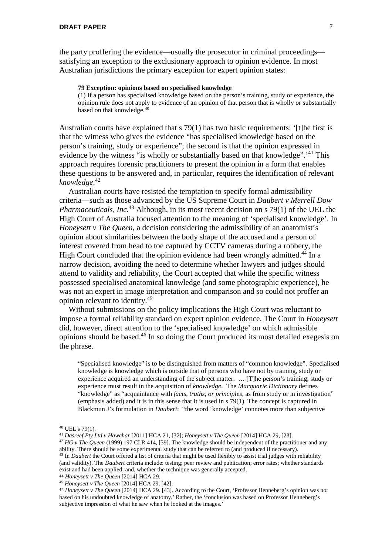the party proffering the evidence—usually the prosecutor in criminal proceedings satisfying an exception to the exclusionary approach to opinion evidence. In most Australian jurisdictions the primary exception for expert opinion states:

#### **79 Exception: opinions based on specialised knowledge**

(1) If a person has specialised knowledge based on the person's training, study or experience, the opinion rule does not apply to evidence of an opinion of that person that is wholly or substantially based on that knowledge.<sup>40</sup>

Australian courts have explained that s 79(1) has two basic requirements: '[t]he first is that the witness who gives the evidence "has specialised knowledge based on the person's training, study or experience"; the second is that the opinion expressed in evidence by the witness "is wholly or substantially based on that knowledge".<sup>'41</sup> This approach requires forensic practitioners to present the opinion in a form that enables these questions to be answered and, in particular, requires the identification of relevant *knowledge*. 42

Australian courts have resisted the temptation to specify formal admissibility criteria—such as those advanced by the US Supreme Court in *Daubert v Merrell Dow Pharmaceuticals, Inc.*<sup>43</sup> Although, in its most recent decision on s 79(1) of the UEL the High Court of Australia focused attention to the meaning of 'specialised knowledge'. In *Honeysett v The Queen*, a decision considering the admissibility of an anatomist's opinion about similarities between the body shape of the accused and a person of interest covered from head to toe captured by CCTV cameras during a robbery, the High Court concluded that the opinion evidence had been wrongly admitted.<sup>44</sup> In a narrow decision, avoiding the need to determine whether lawyers and judges should attend to validity and reliability, the Court accepted that while the specific witness possessed specialised anatomical knowledge (and some photographic experience), he was not an expert in image interpretation and comparison and so could not proffer an opinion relevant to identity. 45

Without submissions on the policy implications the High Court was reluctant to impose a formal reliability standard on expert opinion evidence. The Court in *Honeysett* did, however, direct attention to the 'specialised knowledge' on which admissible opinions should be based. <sup>46</sup> In so doing the Court produced its most detailed exegesis on the phrase.

"Specialised knowledge" is to be distinguished from matters of "common knowledge". Specialised knowledge is knowledge which is outside that of persons who have not by training, study or experience acquired an understanding of the subject matter. … [T]he person's training, study or experience must result in the acquisition of *knowledge*. The *Macquarie Dictionary* defines "knowledge" as "acquaintance with *facts, truths, or principles*, as from study or in investigation" (emphasis added) and it is in this sense that it is used in s 79(1). The concept is captured in Blackmun J's formulation in *Daubert*: "the word 'knowledge' connotes more than subjective

<sup>&</sup>lt;sup>40</sup> UEL s 79(1).<br><sup>41</sup> Dasreef Pty Ltd v Hawchar [2011] HCA 21, [32]; Honeysett v The Queen [2014] HCA 29, [23].<br><sup>42</sup> HG v The Queen (1999) 197 CLR 414, [39]. The knowledge should be independent of the practitioner and an ability. There should be some experimental study that can be referred to (and produced if necessary).

<sup>43</sup> In *Daubert* the Court offered a list of criteria that might be used flexibly to assist trial judges with reliability (and validity). The *Daubert* criteria include: testing; peer review and publication; error rates; whether standards exist and had been applied; and, whether the technique was generally accepted.

<sup>44</sup> *Honeysett v The Queen* [2014] HCA 29.

<sup>45</sup> *Honeysett v The Queen* [2014] HCA 29. [42].

<sup>46</sup> *Honeysett v The Queen* [2014] HCA 29. [43]. According to the Court, 'Professor Henneberg's opinion was not based on his undoubted knowledge of anatomy.' Rather, the 'conclusion was based on Professor Henneberg's subjective impression of what he saw when he looked at the images.'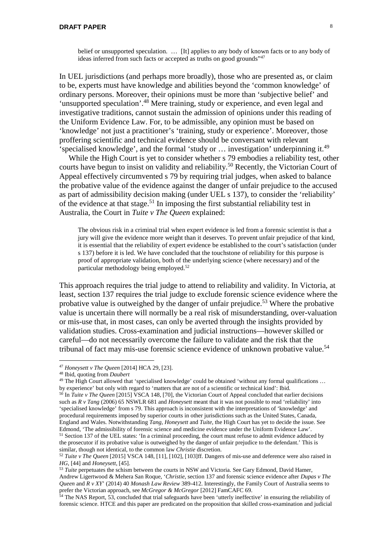In UEL jurisdictions (and perhaps more broadly), those who are presented as, or claim to be, experts must have knowledge and abilities beyond the 'common knowledge' of ordinary persons. Moreover, their opinions must be more than 'subjective belief' and 'unsupported speculation'.<sup>48</sup> Mere training, study or experience, and even legal and investigative traditions, cannot sustain the admission of opinions under this reading of the Uniform Evidence Law. For, to be admissible, any opinion must be based on 'knowledge' not just a practitioner's 'training, study or experience'. Moreover, those proffering scientific and technical evidence should be conversant with relevant 'specialised knowledge', and the formal 'study or ... investigation' underpinning it.<sup>49</sup>

While the High Court is yet to consider whether s 79 embodies a reliability test, other courts have begun to insist on validity and reliability. <sup>50</sup> Recently, the Victorian Court of Appeal effectively circumvented s 79 by requiring trial judges, when asked to balance the probative value of the evidence against the danger of unfair prejudice to the accused as part of admissibility decision making (under UEL s 137), to consider the 'reliability' of the evidence at that stage.<sup>51</sup> In imposing the first substantial reliability test in Australia, the Court in *Tuite v The Queen* explained:

The obvious risk in a criminal trial when expert evidence is led from a forensic scientist is that a jury will give the evidence more weight than it deserves. To prevent unfair prejudice of that kind, it is essential that the reliability of expert evidence be established to the court's satisfaction (under s 137) before it is led. We have concluded that the touchstone of reliability for this purpose is proof of appropriate validation, both of the underlying science (where necessary) and of the particular methodology being employed.52

This approach requires the trial judge to attend to reliability and validity. In Victoria, at least, section 137 requires the trial judge to exclude forensic science evidence where the probative value is outweighed by the danger of unfair prejudice.<sup>53</sup> Where the probative value is uncertain there will normally be a real risk of misunderstanding, over-valuation or mis-use that, in most cases, can only be averted through the insights provided by validation studies. Cross-examination and judicial instructions—however skilled or careful—do not necessarily overcome the failure to validate and the risk that the tribunal of fact may mis-use forensic science evidence of unknown probative value. 54

<sup>47</sup> *Honeysett v The Queen* [2014] HCA 29, [23].

<sup>48</sup> Ibid, quoting from *Daubert*

<sup>49</sup> The High Court allowed that 'specialised knowledge' could be obtained 'without any formal qualifications … by experience' but only with regard to 'matters that are not of a scientific or technical kind': Ibid.

<sup>&</sup>lt;sup>50</sup> In *Tuite v The Queen* [2015] VSCA 148, [70], the Victorian Court of Appeal concluded that earlier decisions such as *R v Tang* (2006) 65 NSWLR 681 and *Honeysett* meant that it was not possible to read 'reliability' into 'specialised knowledge' from s 79. This approach is inconsistent with the interpretations of 'knowledge' and procedural requirements imposed by superior courts in other jurisdictions such as the United States, Canada, England and Wales. Notwithstanding *Tang, Honeysett* and *Tuite*, the High Court has yet to decide the issue. See Edmond, 'The admissibility of forensic science and medicine evidence under the Uniform Evidence Law'. <sup>51</sup> Section 137 of the UEL states: 'In a criminal proceeding, the court must refuse to admit evidence adduced by the prosecutor if its probative value is outweighed by the danger of unfair prejudice to the defendant.' This is

similar, though not identical, to the common law *Christie* discretion.<br><sup>52</sup> *Tuite v The Queen* [2015] VSCA 148, [11], [102], [103]ff. Dangers of mis-use and deference were also raised in *HG*, [44] and *Honeysett*, [45].

<sup>&</sup>lt;sup>53</sup> *Tuite* perpetuates the schism between the courts in NSW and Victoria. See Gary Edmond, David Hamer, Andrew Ligertwood & Mehera San Roque, '*Christie*, section 137 and forensic science evidence after *Dupas v The Queen* and *R v XY*' (2014) 40 *Monash Law Review* 389-412. Interestingly, the Family Court of Australia seems to prefer the Victorian approach, see *McGregor & McGregor* [2012] FamCAFC 69.

<sup>54</sup> The NAS Report, 53, concluded that trial safeguards have been 'utterly ineffective' in ensuring the reliability of forensic science. HTCE and this paper are predicated on the proposition that skilled cross-examination and judicial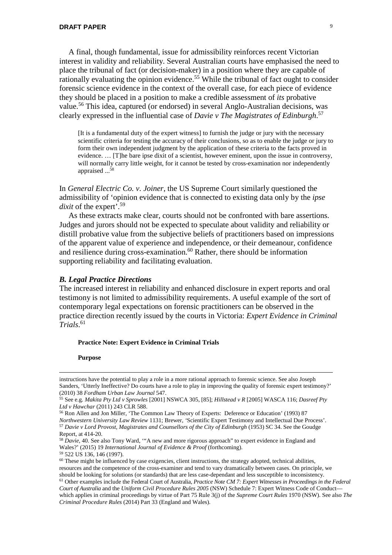A final, though fundamental, issue for admissibility reinforces recent Victorian interest in validity and reliability. Several Australian courts have emphasised the need to place the tribunal of fact (or decision-maker) in a position where they are capable of rationally evaluating the opinion evidence.<sup>55</sup> While the tribunal of fact ought to consider forensic science evidence in the context of the overall case, for each piece of evidence they should be placed in a position to make a credible assessment of *its* probative value.<sup>56</sup> This idea, captured (or endorsed) in several Anglo-Australian decisions, was clearly expressed in the influential case of *Davie v The Magistrates of Edinburgh*. 57

[It is a fundamental duty of the expert witness] to furnish the judge or jury with the necessary scientific criteria for testing the accuracy of their conclusions, so as to enable the judge or jury to form their own independent judgment by the application of these criteria to the facts proved in evidence. … [T]he bare ipse dixit of a scientist, however eminent, upon the issue in controversy, will normally carry little weight, for it cannot be tested by cross-examination nor independently appraised ... 58

In *General Electric Co. v. Joiner*, the US Supreme Court similarly questioned the admissibility of 'opinion evidence that is connected to existing data only by the *ipse dixit* of the expert'. 59

As these extracts make clear, courts should not be confronted with bare assertions. Judges and jurors should not be expected to speculate about validity and reliability or distill probative value from the subjective beliefs of practitioners based on impressions of the apparent value of experience and independence, or their demeanour, confidence and resilience during cross-examination. <sup>60</sup> Rather, there should be information supporting reliability and facilitating evaluation.

## *B. Legal Practice Directions*

The increased interest in reliability and enhanced disclosure in expert reports and oral testimony is not limited to admissibility requirements. A useful example of the sort of contemporary legal expectations on forensic practitioners can be observed in the practice direction recently issued by the courts in Victoria: *Expert Evidence in Criminal Trials*. 61

**Practice Note: Expert Evidence in Criminal Trials**

**Purpose** 

<sup>58</sup> *Davie,* 40. See also Tony Ward, '"A new and more rigorous approach" to expert evidence in England and Wales?' (2015) 19 *International Journal of Evidence & Proof* (forthcoming).

<sup>59</sup> 522 US 136, 146 (1997).

instructions have the potential to play a role in a more rational approach to forensic science. See also Joseph Sanders, 'Utterly Ineffective? Do courts have a role to play in improving the quality of forensic expert testimony?' (2010) 38 *Fordham Urban Law Journal* 547.

<sup>55</sup> See e.g. *Makita Pty Ltd v Sprowles* [2001] NSWCA 305, [85]; *Hillstead v R* [2005] WASCA 116; *Dasreef Pty Ltd v Hawchar* (2011) 243 CLR 588.

<sup>56</sup> Ron Allen and Jon Miller, 'The Common Law Theory of Experts: Deference or Education' (1993) 87 *Northwestern University Law Review* 1131; Brewer, *'*Scientific Expert Testimony and Intellectual Due Process'. <sup>57</sup> *Davie v Lord Provost, Magistrates and Counsellors of the City of Edinburgh* (1953) SC 34. See the Goudge Report, at 414-20.

 $60$  These might be influenced by case exigencies, client instructions, the strategy adopted, technical abilities, resources and the competence of the cross-examiner and tend to vary dramatically between cases. On principle, we should be looking for solutions (or standards) that are less case-dependant and less susceptible to inconsistency. <sup>61</sup> Other examples include the Federal Court of Australia, *Practice Note CM 7: Expert Witnesses in Proceedings in the Federal Court of Australia* and the *Uniform Civil Procedure Rules 2005* (NSW) Schedule 7: Expert Witness Code of Conduct which applies in criminal proceedings by virtue of Part 75 Rule 3(j) of the *Supreme Court Rules* 1970 (NSW). See also *The Criminal Procedure Rules* (2014) Part 33 (England and Wales).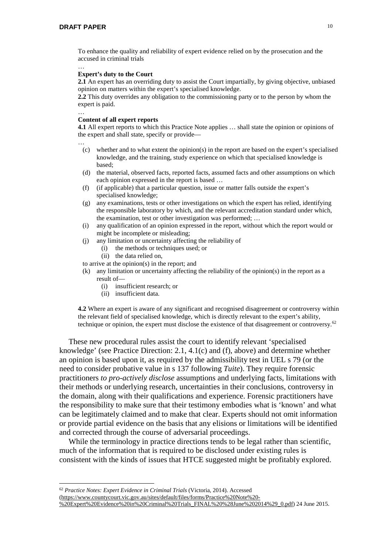To enhance the quality and reliability of expert evidence relied on by the prosecution and the accused in criminal trials

#### … **Expert's duty to the Court**

**2.1** An expert has an overriding duty to assist the Court impartially, by giving objective, unbiased opinion on matters within the expert's specialised knowledge.

**2.2** This duty overrides any obligation to the commissioning party or to the person by whom the expert is paid.

#### … **Content of all expert reports**

**4.1** All expert reports to which this Practice Note applies … shall state the opinion or opinions of the expert and shall state, specify or provide—

- … (c) whether and to what extent the opinion(s) in the report are based on the expert's specialised knowledge, and the training, study experience on which that specialised knowledge is based;
	- (d) the material, observed facts, reported facts, assumed facts and other assumptions on which each opinion expressed in the report is based …
	- (f) (if applicable) that a particular question, issue or matter falls outside the expert's specialised knowledge;
	- (g) any examinations, tests or other investigations on which the expert has relied, identifying the responsible laboratory by which, and the relevant accreditation standard under which, the examination, test or other investigation was performed; …
- (i) any qualification of an opinion expressed in the report, without which the report would or might be incomplete or misleading;
- (j) any limitation or uncertainty affecting the reliability of
	- (i) the methods or techniques used; or
		- (ii) the data relied on,
- to arrive at the opinion(s) in the report; and
- (k) any limitation or uncertainty affecting the reliability of the opinion(s) in the report as a result of—
	- (i) insufficient research; or
	- (ii) insufficient data.

**4.2** Where an expert is aware of any significant and recognised disagreement or controversy within the relevant field of specialised knowledge, which is directly relevant to the expert's ability, technique or opinion, the expert must disclose the existence of that disagreement or controversy.<sup>62</sup>

These new procedural rules assist the court to identify relevant 'specialised knowledge' (see Practice Direction: 2.1, 4.1(c) and (f), above) and determine whether an opinion is based upon it, as required by the admissibility test in UEL s 79 (or the need to consider probative value in s 137 following *Tuite*). They require forensic practitioners *to pro-actively disclose* assumptions and underlying facts, limitations with their methods or underlying research, uncertainties in their conclusions, controversy in the domain, along with their qualifications and experience. Forensic practitioners have the responsibility to make sure that their testimony embodies what is 'known' and what can be legitimately claimed and to make that clear. Experts should not omit information or provide partial evidence on the basis that any elisions or limitations will be identified and corrected through the course of adversarial proceedings.

While the terminology in practice directions tends to be legal rather than scientific, much of the information that is required to be disclosed under existing rules is consistent with the kinds of issues that HTCE suggested might be profitably explored.

 <sup>62</sup> *Practice Notes: Expert Evidence in Criminal Trials* (Victoria, 2014). Accessed [\(https://www.countycourt.vic.gov.au/sites/default/files/forms/Practice%20Note%20-](https://www.countycourt.vic.gov.au/sites/default/files/forms/Practice%20Note%20-%20Expert%20Evidence%20in%20Criminal%20Trials_FINAL%20%28June%202014%29_0.pdf) [%20Expert%20Evidence%20in%20Criminal%20Trials\\_FINAL%20%28June%202014%29\\_0.pdf\)](https://www.countycourt.vic.gov.au/sites/default/files/forms/Practice%20Note%20-%20Expert%20Evidence%20in%20Criminal%20Trials_FINAL%20%28June%202014%29_0.pdf) 24 June 2015.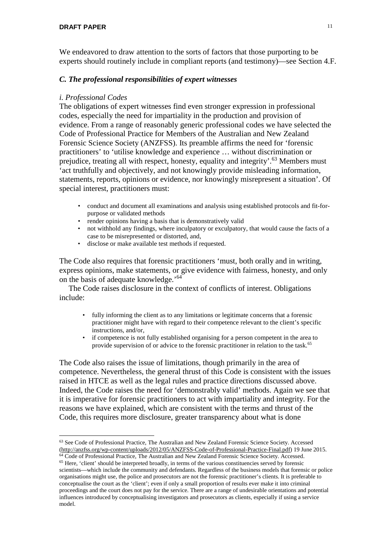We endeavored to draw attention to the sorts of factors that those purporting to be experts should routinely include in compliant reports (and testimony)—see Section 4.F.

## *C. The professional responsibilities of expert witnesses*

## *i. Professional Codes*

The obligations of expert witnesses find even stronger expression in professional codes, especially the need for impartiality in the production and provision of evidence. From a range of reasonably generic professional codes we have selected the Code of Professional Practice for Members of the Australian and New Zealand Forensic Science Society (ANZFSS). Its preamble affirms the need for 'forensic practitioners' to 'utilise knowledge and experience … without discrimination or prejudice, treating all with respect, honesty, equality and integrity'.<sup>63</sup> Members must 'act truthfully and objectively, and not knowingly provide misleading information, statements, reports, opinions or evidence, nor knowingly misrepresent a situation'. Of special interest, practitioners must:

- conduct and document all examinations and analysis using established protocols and fit-forpurpose or validated methods
- render opinions having a basis that is demonstratively valid
- not withhold any findings, where inculpatory or exculpatory, that would cause the facts of a case to be misrepresented or distorted, and,
- disclose or make available test methods if requested.

The Code also requires that forensic practitioners 'must, both orally and in writing, express opinions, make statements, or give evidence with fairness, honesty, and only on the basis of adequate knowledge.'<sup>64</sup>

The Code raises disclosure in the context of conflicts of interest. Obligations include:

- fully informing the client as to any limitations or legitimate concerns that a forensic practitioner might have with regard to their competence relevant to the client's specific instructions, and/or,
- if competence is not fully established organising for a person competent in the area to provide supervision of or advice to the forensic practitioner in relation to the task.<sup>65</sup>

The Code also raises the issue of limitations, though primarily in the area of competence. Nevertheless, the general thrust of this Code is consistent with the issues raised in HTCE as well as the legal rules and practice directions discussed above. Indeed, the Code raises the need for 'demonstrably valid' methods. Again we see that it is imperative for forensic practitioners to act with impartiality and integrity. For the reasons we have explained, which are consistent with the terms and thrust of the Code, this requires more disclosure, greater transparency about what is done

<sup>63</sup> See Code of Professional Practice, The Australian and New Zealand Forensic Science Society. Accessed [\(http://anzfss.org/wp-content/uploads/2012/05/ANZFSS-Code-of-Professional-Practice-Final.pdf\)](http://anzfss.org/wp-content/uploads/2012/05/ANZFSS-Code-of-Professional-Practice-Final.pdf) 19 June 2015.

<sup>64</sup> Code of Professional Practice, The Australian and New Zealand Forensic Science Society. Accessed. <sup>65</sup> Here, 'client' should be interpreted broadly, in terms of the various constituencies served by forensic

scientists—which include the community and defendants. Regardless of the business models that forensic or police organisations might use, the police and prosecutors are not the forensic practitioner's clients. It is preferable to conceptualise the court as the 'client'; even if only a small proportion of results ever make it into criminal proceedings and the court does not pay for the service. There are a range of undesirable orientations and potential influences introduced by conceptualising investigators and prosecutors as clients, especially if using a service model.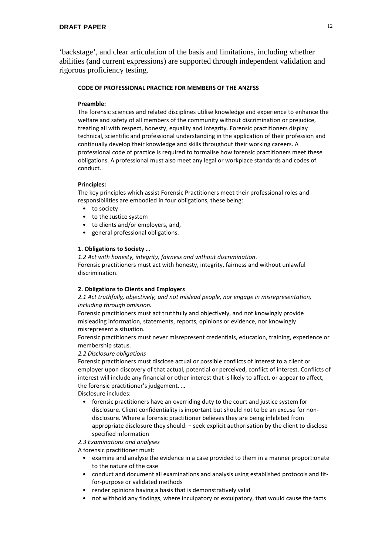'backstage', and clear articulation of the basis and limitations, including whether abilities (and current expressions) are supported through independent validation and rigorous proficiency testing.

### **CODE OF PROFESSIONAL PRACTICE FOR MEMBERS OF THE ANZFSS**

## **Preamble:**

The forensic sciences and related disciplines utilise knowledge and experience to enhance the welfare and safety of all members of the community without discrimination or prejudice, treating all with respect, honesty, equality and integrity. Forensic practitioners display technical, scientific and professional understanding in the application of their profession and continually develop their knowledge and skills throughout their working careers. A professional code of practice is required to formalise how forensic practitioners meet these obligations. A professional must also meet any legal or workplace standards and codes of conduct.

### **Principles:**

The key principles which assist Forensic Practitioners meet their professional roles and responsibilities are embodied in four obligations, these being:

- to society
- to the Justice system
- to clients and/or employers, and,
- general professional obligations.

#### **1. Obligations to Society** …

*1.2 Act with honesty, integrity, fairness and without discrimination*. Forensic practitioners must act with honesty, integrity, fairness and without unlawful discrimination.

#### **2. Obligations to Clients and Employers**

*2.1 Act truthfully, objectively, and not mislead people, nor engage in misrepresentation, including through omission.* 

Forensic practitioners must act truthfully and objectively, and not knowingly provide misleading information, statements, reports, opinions or evidence, nor knowingly misrepresent a situation.

Forensic practitioners must never misrepresent credentials, education, training, experience or membership status.

#### *2.2 Disclosure obligations*

Forensic practitioners must disclose actual or possible conflicts of interest to a client or employer upon discovery of that actual, potential or perceived, conflict of interest. Conflicts of interest will include any financial or other interest that is likely to affect, or appear to affect, the forensic practitioner's judgement. …

Disclosure includes:

• forensic practitioners have an overriding duty to the court and justice system for disclosure. Client confidentiality is important but should not to be an excuse for nondisclosure. Where a forensic practitioner believes they are being inhibited from appropriate disclosure they should: − seek explicit authorisation by the client to disclose specified information

## *2.3 Examinations and analyses*

A forensic practitioner must:

- examine and analyse the evidence in a case provided to them in a manner proportionate to the nature of the case
- conduct and document all examinations and analysis using established protocols and fitfor-purpose or validated methods
- render opinions having a basis that is demonstratively valid
- not withhold any findings, where inculpatory or exculpatory, that would cause the facts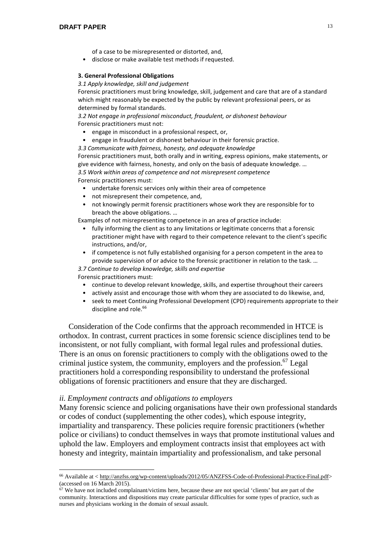of a case to be misrepresented or distorted, and,

• disclose or make available test methods if requested.

## **3. General Professional Obligations**

## *3.1 Apply knowledge, skill and judgement*

Forensic practitioners must bring knowledge, skill, judgement and care that are of a standard which might reasonably be expected by the public by relevant professional peers, or as determined by formal standards.

*3.2 Not engage in professional misconduct, fraudulent, or dishonest behaviour*  Forensic practitioners must not:

- engage in misconduct in a professional respect, or,
- engage in fraudulent or dishonest behaviour in their forensic practice.

*3.3 Communicate with fairness, honesty, and adequate knowledge* 

Forensic practitioners must, both orally and in writing, express opinions, make statements, or give evidence with fairness, honesty, and only on the basis of adequate knowledge. … *3.5 Work within areas of competence and not misrepresent competence*  Forensic practitioners must:

- undertake forensic services only within their area of competence
- not misrepresent their competence, and,
- not knowingly permit forensic practitioners whose work they are responsible for to breach the above obligations. …

Examples of not misrepresenting competence in an area of practice include:

- fully informing the client as to any limitations or legitimate concerns that a forensic practitioner might have with regard to their competence relevant to the client's specific instructions, and/or,
- if competence is not fully established organising for a person competent in the area to provide supervision of or advice to the forensic practitioner in relation to the task. …

*3.7 Continue to develop knowledge, skills and expertise* 

Forensic practitioners must:

- continue to develop relevant knowledge, skills, and expertise throughout their careers
- actively assist and encourage those with whom they are associated to do likewise, and,
- seek to meet Continuing Professional Development (CPD) requirements appropriate to their discipline and role.<sup>66</sup>

Consideration of the Code confirms that the approach recommended in HTCE is orthodox. In contrast, current practices in some forensic science disciplines tend to be inconsistent, or not fully compliant, with formal legal rules and professional duties. There is an onus on forensic practitioners to comply with the obligations owed to the criminal justice system, the community, employers and the profession.<sup>67</sup> Legal practitioners hold a corresponding responsibility to understand the professional obligations of forensic practitioners and ensure that they are discharged.

## *ii. Employment contracts and obligations to employers*

Many forensic science and policing organisations have their own professional standards or codes of conduct (supplementing the other codes), which espouse integrity, impartiality and transparency. These policies require forensic practitioners (whether police or civilians) to conduct themselves in ways that promote institutional values and uphold the law. Employers and employment contracts insist that employees act with honesty and integrity, maintain impartiality and professionalism, and take personal

<sup>66</sup> Available at [< http://anzfss.org/wp-content/uploads/2012/05/ANZFSS-Code-of-Professional-Practice-Final.pdf>](http://anzfss.org/wp-content/uploads/2012/05/ANZFSS-Code-of-Professional-Practice-Final.pdf) (accessed on 16 March 2015).

 $67$  We have not included complainant/victims here, because these are not special 'clients' but are part of the community. Interactions and dispositions may create particular difficulties for some types of practice, such as nurses and physicians working in the domain of sexual assault.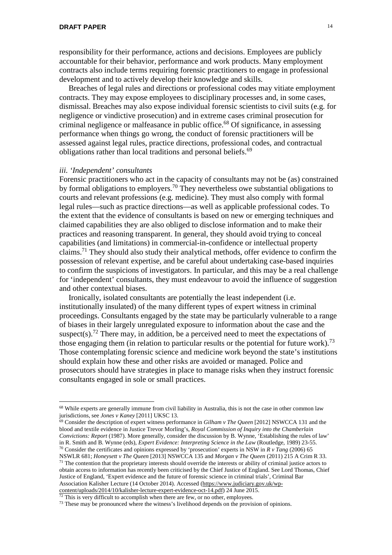responsibility for their performance, actions and decisions. Employees are publicly accountable for their behavior, performance and work products. Many employment contracts also include terms requiring forensic practitioners to engage in professional development and to actively develop their knowledge and skills.

Breaches of legal rules and directions or professional codes may vitiate employment contracts. They may expose employees to disciplinary processes and, in some cases, dismissal. Breaches may also expose individual forensic scientists to civil suits (e.g. for negligence or vindictive prosecution) and in extreme cases criminal prosecution for criminal negligence or malfeasance in public office. <sup>68</sup> Of significance, in assessing performance when things go wrong, the conduct of forensic practitioners will be assessed against legal rules, practice directions, professional codes, and contractual obligations rather than local traditions and personal beliefs.<sup>69</sup>

## *iii. 'Independent' consultants*

Forensic practitioners who act in the capacity of consultants may not be (as) constrained by formal obligations to employers.<sup>70</sup> They nevertheless owe substantial obligations to courts and relevant professions (e.g. medicine). They must also comply with formal legal rules—such as practice directions—as well as applicable professional codes. To the extent that the evidence of consultants is based on new or emerging techniques and claimed capabilities they are also obliged to disclose information and to make their practices and reasoning transparent. In general, they should avoid trying to conceal capabilities (and limitations) in commercial-in-confidence or intellectual property claims.<sup>71</sup> They should also study their analytical methods, offer evidence to confirm the possession of relevant expertise, and be careful about undertaking case-based inquiries to confirm the suspicions of investigators. In particular, and this may be a real challenge for 'independent' consultants, they must endeavour to avoid the influence of suggestion and other contextual biases.

Ironically, isolated consultants are potentially the least independent (i.e. institutionally insulated) of the many different types of expert witness in criminal proceedings. Consultants engaged by the state may be particularly vulnerable to a range of biases in their largely unregulated exposure to information about the case and the suspect(s).<sup>72</sup> There may, in addition, be a perceived need to meet the expectations of those engaging them (in relation to particular results or the potential for future work).<sup>73</sup> Those contemplating forensic science and medicine work beyond the state's institutions should explain how these and other risks are avoided or managed. Police and prosecutors should have strategies in place to manage risks when they instruct forensic consultants engaged in sole or small practices.

<sup>69</sup> Consider the description of expert witness performance in *Gilham v The Queen* [2012] NSWCCA 131 and the blood and textile evidence in Justice Trevor Morling's, *Royal Commission of Inquiry into the Chamberlain Convictions: Report* (1987). More generally, consider the discussion by B. Wynne, 'Establishing the rules of law' in R. Smith and B. Wynne (eds), *Expert Evidence: Interpreting Science in the Law* (Routledge, 1989) 23-55. <sup>70</sup> Consider the certificates and opinions expressed by 'prosecution' experts in NSW in *R v Tang* (2006) 65 NSWLR 681; *Honeysett v The Queen* [2013] NSWCCA 135 and *Morgan v The Queen* (2011) 215 A Crim R 33.  $71$  The contention that the proprietary interests should override the interests or ability of criminal justice actors to obtain access to information has recently been criticised by the Chief Justice of England. See Lord Thomas, Chief Justice of England, 'Expert evidence and the future of forensic science in criminal trials', Criminal Bar Association Kalisher Lecture (14 October 2014). Accessed [\(https://www.judiciary.gov.uk/wp](https://www.judiciary.gov.uk/wp-content/uploads/2014/10/kalisher-lecture-expert-evidence-oct-14.pdf)[content/uploads/2014/10/kalisher-lecture-expert-evidence-oct-14.pdf\)](https://www.judiciary.gov.uk/wp-content/uploads/2014/10/kalisher-lecture-expert-evidence-oct-14.pdf) 24 June 2015.

 $72$  This is very difficult to accomplish when there are few, or no other, employees.

<sup>73</sup> These may be pronounced where the witness's livelihood depends on the provision of opinions.

<sup>&</sup>lt;sup>68</sup> While experts are generally immune from civil liability in Australia, this is not the case in other common law jurisdictions, see *Jones v Kaney* [2011] UKSC 13.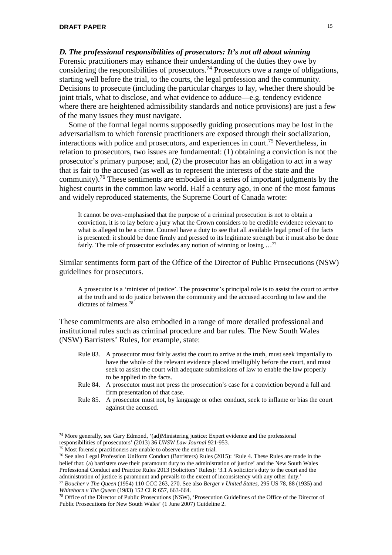## *D. The professional responsibilities of prosecutors: It's not all about winning*

Forensic practitioners may enhance their understanding of the duties they owe by considering the responsibilities of prosecutors.<sup>74</sup> Prosecutors owe a range of obligations, starting well before the trial, to the courts, the legal profession and the community. Decisions to prosecute (including the particular charges to lay, whether there should be joint trials, what to disclose, and what evidence to adduce—e.g. tendency evidence where there are heightened admissibility standards and notice provisions) are just a few of the many issues they must navigate.

Some of the formal legal norms supposedly guiding prosecutions may be lost in the adversarialism to which forensic practitioners are exposed through their socialization, interactions with police and prosecutors, and experiences in court.<sup>75</sup> Nevertheless, in relation to prosecutors, two issues are fundamental: (1) obtaining a conviction is not the prosecutor's primary purpose; and, (2) the prosecutor has an obligation to act in a way that is fair to the accused (as well as to represent the interests of the state and the community). <sup>76</sup> These sentiments are embodied in a series of important judgments by the highest courts in the common law world. Half a century ago, in one of the most famous and widely reproduced statements, the Supreme Court of Canada wrote:

It cannot be over-emphasised that the purpose of a criminal prosecution is not to obtain a conviction, it is to lay before a jury what the Crown considers to be credible evidence relevant to what is alleged to be a crime. Counsel have a duty to see that all available legal proof of the facts is presented: it should be done firmly and pressed to its legitimate strength but it must also be done fairly. The role of prosecutor excludes any notion of winning or losing  $\ldots$ <sup>77</sup>

Similar sentiments form part of the Office of the Director of Public Prosecutions (NSW) guidelines for prosecutors.

A prosecutor is a 'minister of justice'. The prosecutor's principal role is to assist the court to arrive at the truth and to do justice between the community and the accused according to law and the dictates of fairness.78

These commitments are also embodied in a range of more detailed professional and institutional rules such as criminal procedure and bar rules. The New South Wales (NSW) Barristers' Rules, for example, state:

- Rule 83. A prosecutor must fairly assist the court to arrive at the truth, must seek impartially to have the whole of the relevant evidence placed intelligibly before the court, and must seek to assist the court with adequate submissions of law to enable the law properly to be applied to the facts.
- Rule 84. A prosecutor must not press the prosecution's case for a conviction beyond a full and firm presentation of that case.
- Rule 85. A prosecutor must not, by language or other conduct, seek to inflame or bias the court against the accused.

<sup>74</sup> More generally, see Gary Edmond, '(ad)Ministering justice: Expert evidence and the professional responsibilities of prosecutors' (2013) 36 *UNSW Law Journal* 921-953.

<sup>75</sup> Most forensic practitioners are unable to observe the entire trial.

<sup>76</sup> See also Legal Profession Uniform Conduct (Barristers) Rules (2015): 'Rule 4. These Rules are made in the belief that: (a) barristers owe their paramount duty to the administration of justice' and the New South Wales Professional Conduct and Practice Rules 2013 (Solicitors' Rules): '3.1 A solicitor's duty to the court and the administration of justice is paramount and prevails to the extent of inconsistency with any other duty.'

<sup>77</sup> *Boucher v The Queen* (1954) 110 CCC 263, 270. See also *Berger v United States*, 295 US 78, 88 (1935) and *Whitehorn v The Queen* (1983) 152 CLR 657, 663-664.

<sup>78</sup> Office of the Director of Public Prosecutions (NSW), 'Prosecution Guidelines of the Office of the Director of Public Prosecutions for New South Wales' (1 June 2007) Guideline 2.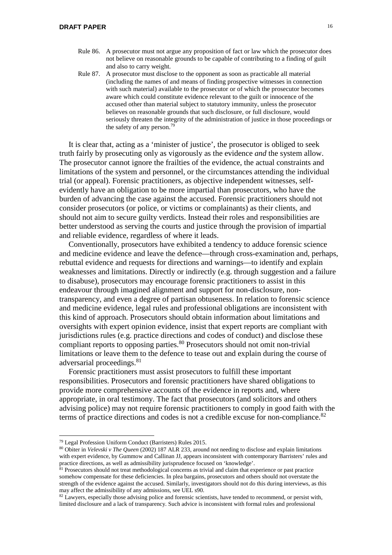- Rule 86. A prosecutor must not argue any proposition of fact or law which the prosecutor does not believe on reasonable grounds to be capable of contributing to a finding of guilt and also to carry weight.
- Rule 87. A prosecutor must disclose to the opponent as soon as practicable all material (including the names of and means of finding prospective witnesses in connection with such material) available to the prosecutor or of which the prosecutor becomes aware which could constitute evidence relevant to the guilt or innocence of the accused other than material subject to statutory immunity, unless the prosecutor believes on reasonable grounds that such disclosure, or full disclosure, would seriously threaten the integrity of the administration of justice in those proceedings or the safety of any person.79

It is clear that, acting as a 'minister of justice', the prosecutor is obliged to seek truth fairly by prosecuting only as vigorously as the evidence *and* the system allow. The prosecutor cannot ignore the frailties of the evidence, the actual constraints and limitations of the system and personnel, or the circumstances attending the individual trial (or appeal). Forensic practitioners, as objective independent witnesses, selfevidently have an obligation to be more impartial than prosecutors, who have the burden of advancing the case against the accused. Forensic practitioners should not consider prosecutors (or police, or victims or complainants) as their clients, and should not aim to secure guilty verdicts. Instead their roles and responsibilities are better understood as serving the courts and justice through the provision of impartial and reliable evidence, regardless of where it leads.

Conventionally, prosecutors have exhibited a tendency to adduce forensic science and medicine evidence and leave the defence—through cross-examination and, perhaps, rebuttal evidence and requests for directions and warnings—to identify and explain weaknesses and limitations. Directly or indirectly (e.g. through suggestion and a failure to disabuse), prosecutors may encourage forensic practitioners to assist in this endeavour through imagined alignment and support for non-disclosure, nontransparency, and even a degree of partisan obtuseness. In relation to forensic science and medicine evidence, legal rules and professional obligations are inconsistent with this kind of approach. Prosecutors should obtain information about limitations and oversights with expert opinion evidence, insist that expert reports are compliant with jurisdictions rules (e.g. practice directions and codes of conduct) and disclose these compliant reports to opposing parties.<sup>80</sup> Prosecutors should not omit non-trivial limitations or leave them to the defence to tease out and explain during the course of adversarial proceedings.<sup>81</sup>

Forensic practitioners must assist prosecutors to fulfill these important responsibilities. Prosecutors and forensic practitioners have shared obligations to provide more comprehensive accounts of the evidence in reports and, where appropriate, in oral testimony. The fact that prosecutors (and solicitors and others advising police) may not require forensic practitioners to comply in good faith with the terms of practice directions and codes is not a credible excuse for non-compliance.<sup>82</sup>

<sup>79</sup> Legal Profession Uniform Conduct (Barristers) Rules 2015.

<sup>80</sup> Obiter in *Velevski v The Queen* (2002) 187 ALR 233, around not needing to disclose and explain limitations with expert evidence, by Gummow and Callinan JJ, appears inconsistent with contemporary Barristers' rules and practice directions, as well as admissibility jurisprudence focused on 'knowledge'.

<sup>&</sup>lt;sup>81</sup> Prosecutors should not treat methodological concerns as trivial and claim that experience or past practice somehow compensate for these deficiencies. In plea bargains, prosecutors and others should not overstate the strength of the evidence against the accused. Similarly, investigators should not do this during interviews, as this may affect the admissibility of any admissions, see UEL s90.

<sup>&</sup>lt;sup>82</sup> Lawyers, especially those advising police and forensic scientists, have tended to recommend, or persist with, limited disclosure and a lack of transparency. Such advice is inconsistent with formal rules and professional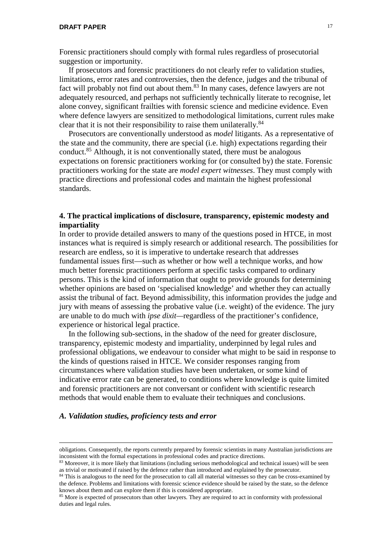Forensic practitioners should comply with formal rules regardless of prosecutorial suggestion or importunity.

If prosecutors and forensic practitioners do not clearly refer to validation studies, limitations, error rates and controversies, then the defence, judges and the tribunal of fact will probably not find out about them.<sup>83</sup> In many cases, defence lawyers are not adequately resourced, and perhaps not sufficiently technically literate to recognise, let alone convey, significant frailties with forensic science and medicine evidence. Even where defence lawyers are sensitized to methodological limitations, current rules make clear that it is not their responsibility to raise them unilaterally. <sup>84</sup>

Prosecutors are conventionally understood as *model* litigants. As a representative of the state and the community, there are special (i.e. high) expectations regarding their conduct. <sup>85</sup> Although, it is not conventionally stated, there must be analogous expectations on forensic practitioners working for (or consulted by) the state. Forensic practitioners working for the state are *model expert witnesses*. They must comply with practice directions and professional codes and maintain the highest professional standards.

# **4. The practical implications of disclosure, transparency, epistemic modesty and impartiality**

In order to provide detailed answers to many of the questions posed in HTCE, in most instances what is required is simply research or additional research. The possibilities for research are endless, so it is imperative to undertake research that addresses fundamental issues first—such as whether or how well a technique works, and how much better forensic practitioners perform at specific tasks compared to ordinary persons. This is the kind of information that ought to provide grounds for determining whether opinions are based on 'specialised knowledge' and whether they can actually assist the tribunal of fact. Beyond admissibility, this information provides the judge and jury with means of assessing the probative value (i.e. weight) of the evidence. The jury are unable to do much with *ipse dixit—*regardless of the practitioner's confidence, experience or historical legal practice.

In the following sub-sections, in the shadow of the need for greater disclosure, transparency, epistemic modesty and impartiality, underpinned by legal rules and professional obligations, we endeavour to consider what might to be said in response to the kinds of questions raised in HTCE. We consider responses ranging from circumstances where validation studies have been undertaken, or some kind of indicative error rate can be generated, to conditions where knowledge is quite limited and forensic practitioners are not conversant or confident with scientific research methods that would enable them to evaluate their techniques and conclusions.

## *A. Validation studies, proficiency tests and error*

obligations. Consequently, the reports currently prepared by forensic scientists in many Australian jurisdictions are inconsistent with the formal expectations in professional codes and practice directions.

<sup>83</sup> Moreover, it is more likely that limitations (including serious methodological and technical issues) will be seen as trivial or motivated if raised by the defence rather than introduced and explained by the prosecutor.

<sup>&</sup>lt;sup>84</sup> This is analogous to the need for the prosecution to call all material witnesses so they can be cross-examined by the defence. Problems and limitations with forensic science evidence should be raised by the state, so the defence knows about them and can explore them if this is considered appropriate.

<sup>&</sup>lt;sup>85</sup> More is expected of prosecutors than other lawyers. They are required to act in conformity with professional duties and legal rules.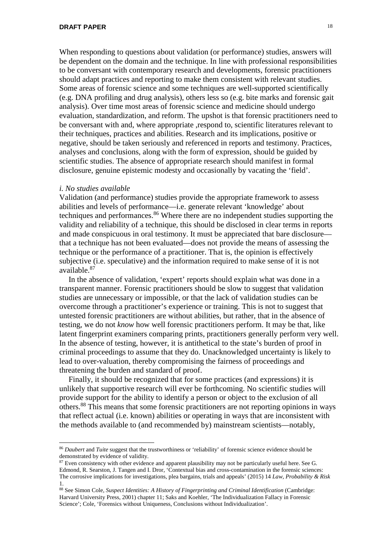When responding to questions about validation (or performance) studies, answers will be dependent on the domain and the technique. In line with professional responsibilities to be conversant with contemporary research and developments, forensic practitioners should adapt practices and reporting to make them consistent with relevant studies. Some areas of forensic science and some techniques are well-supported scientifically (e.g. DNA profiling and drug analysis), others less so (e.g. bite marks and forensic gait analysis). Over time most areas of forensic science and medicine should undergo evaluation, standardization, and reform. The upshot is that forensic practitioners need to be conversant with and, where appropriate ,respond to, scientific literatures relevant to their techniques, practices and abilities. Research and its implications, positive or negative, should be taken seriously and referenced in reports and testimony. Practices, analyses and conclusions, along with the form of expression, should be guided by scientific studies. The absence of appropriate research should manifest in formal disclosure, genuine epistemic modesty and occasionally by vacating the 'field'.

#### *i. No studies available*

Validation (and performance) studies provide the appropriate framework to assess abilities and levels of performance—i.e. generate relevant 'knowledge' about techniques and performances.<sup>86</sup> Where there are no independent studies supporting the validity and reliability of a technique, this should be disclosed in clear terms in reports and made conspicuous in oral testimony. It must be appreciated that bare disclosure that a technique has not been evaluated—does not provide the means of assessing the technique or the performance of a practitioner. That is, the opinion is effectively subjective (i.e. speculative) and the information required to make sense of it is not available. 87

In the absence of validation, 'expert' reports should explain what was done in a transparent manner. Forensic practitioners should be slow to suggest that validation studies are unnecessary or impossible, or that the lack of validation studies can be overcome through a practitioner's experience or training. This is not to suggest that untested forensic practitioners are without abilities, but rather, that in the absence of testing, we do not *know* how well forensic practitioners perform. It may be that, like latent fingerprint examiners comparing prints, practitioners generally perform very well. In the absence of testing, however, it is antithetical to the state's burden of proof in criminal proceedings to assume that they do. Unacknowledged uncertainty is likely to lead to over-valuation, thereby compromising the fairness of proceedings and threatening the burden and standard of proof.

Finally, it should be recognized that for some practices (and expressions) it is unlikely that supportive research will ever be forthcoming. No scientific studies will provide support for the ability to identify a person or object to the exclusion of all others.88 This means that some forensic practitioners are not reporting opinions in ways that reflect actual (i.e. known) abilities or operating in ways that are inconsistent with the methods available to (and recommended by) mainstream scientists—notably,

<sup>86</sup> *Daubert* and *Tuite* suggest that the trustworthiness or 'reliability' of forensic science evidence should be demonstrated by evidence of validity.

<sup>&</sup>lt;sup>87</sup> Even consistency with other evidence and apparent plausibility may not be particularly useful here. See G. Edmond, R. Searston, J. Tangen and I. Dror, 'Contextual bias and cross-contamination in the forensic sciences: The corrosive implications for investigations, plea bargains, trials and appeals' (2015) 14 *Law, Probability & Risk*  1.

<sup>88</sup> See Simon Cole, *Suspect Identities: A History of Fingerprinting and Criminal Identification* (Cambridge: Harvard University Press, 2001) chapter 11; Saks and Koehler, 'The Individualization Fallacy in Forensic Science'; Cole, 'Forensics without Uniqueness, Conclusions without Individualization'.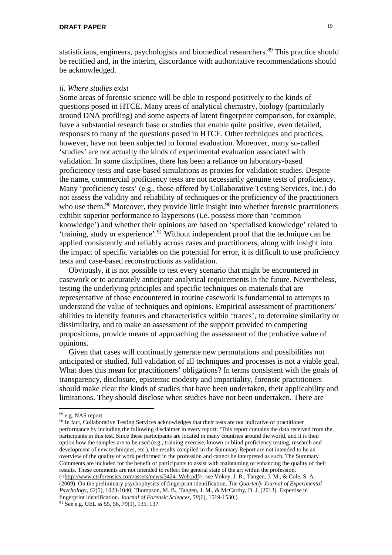statisticians, engineers, psychologists and biomedical researchers.<sup>89</sup> This practice should be rectified and, in the interim, discordance with authoritative recommendations should be acknowledged.

## *ii. Where studies exist*

Some areas of forensic science will be able to respond positively to the kinds of questions posed in HTCE. Many areas of analytical chemistry, biology (particularly around DNA profiling) and some aspects of latent fingerprint comparison, for example, have a substantial research base or studies that enable quite positive, even detailed, responses to many of the questions posed in HTCE. Other techniques and practices, however, have not been subjected to formal evaluation. Moreover, many so-called 'studies' are not actually the kinds of experimental evaluation associated with validation. In some disciplines, there has been a reliance on laboratory-based proficiency tests and case-based simulations as proxies for validation studies. Despite the name, commercial proficiency tests are not necessarily genuine tests of proficiency. Many 'proficiency tests' (e.g., those offered by Collaborative Testing Services, Inc.) do not assess the validity and reliability of techniques or the proficiency of the practitioners who use them.<sup>90</sup> Moreover, they provide little insight into whether forensic practitioners exhibit superior performance to laypersons (i.e. possess more than 'common knowledge') and whether their opinions are based on 'specialised knowledge' related to 'training, study or experience'. <sup>91</sup> Without independent proof that the technique can be applied consistently and reliably across cases and practitioners, along with insight into the impact of specific variables on the potential for error, it is difficult to use proficiency tests and case-based reconstructions as validation.

Obviously, it is not possible to test every scenario that might be encountered in casework or to accurately anticipate analytical requirements in the future. Nevertheless, testing the underlying principles and specific techniques on materials that are representative of those encountered in routine casework is fundamental to attempts to understand the value of techniques and opinions. Empirical assessment of practitioners' abilities to identify features and characteristics within 'traces', to determine similarity or dissimilarity, and to make an assessment of the support provided to competing propositions, provide means of approaching the assessment of the probative value of opinions.

Given that cases will continually generate new permutations and possibilities not anticipated or studied, full validation of all techniques and processes is not a viable goal. What does this mean for practitioners' obligations? In terms consistent with the goals of transparency, disclosure, epistemic modesty and impartiality, forensic practitioners should make clear the kinds of studies that have been undertaken, their applicability and limitations. They should disclose when studies have not been undertaken. There are

<sup>89</sup> e.g. NAS report.

<sup>&</sup>lt;sup>90</sup> In fact, Collaborative Testing Services acknowledges that their tests are not indicative of practitioner performance by including the following disclaimer in every report: 'This report contains the data received from the participants in this test. Since these participants are located in many countries around the world, and it is their option how the samples are to be used (e.g., training exercise, known or blind proficiency testing, research and development of new techniques, etc.), the results compiled in the Summary Report are not intended to be an overview of the quality of work performed in the profession and cannot be interpreted as such. The Summary Comments are included for the benefit of participants to assist with maintaining or enhancing the quality of their results. These comments are not intended to reflect the general state of the art within the profession. ([<http://www.ctsforensics.com/assets/news/3424\\_Web.pdf>](http://www.ctsforensics.com/assets/news/3424_Web.pdf), see Vokey, J. R., Tangen, J. M., & Cole, S. A. (2009). On the preliminary psychophysics of fingerprint identification. *The Quarterly Journal of Experimental Psychology*, *62*(5), 1023-1040; Thompson, M. B., Tangen, J. M., & McCarthy, D. J. (2013). Expertise in fingerprint identification. *Journal of Forensic Sciences*, *58*(6), 1519-1530.) <sup>91</sup> See e.g. UEL ss 55, 56, 79(1), 135, 137.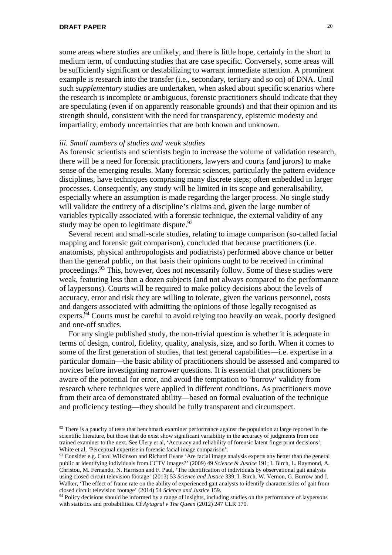some areas where studies are unlikely, and there is little hope, certainly in the short to medium term, of conducting studies that are case specific. Conversely, some areas will be sufficiently significant or destabilizing to warrant immediate attention. A prominent example is research into the transfer (i.e., secondary, tertiary and so on) of DNA. Until such *supplementary* studies are undertaken, when asked about specific scenarios where the research is incomplete or ambiguous, forensic practitioners should indicate that they are speculating (even if on apparently reasonable grounds) and that their opinion and its strength should, consistent with the need for transparency, epistemic modesty and impartiality, embody uncertainties that are both known and unknown.

## *iii. Small numbers of studies and weak studies*

As forensic scientists and scientists begin to increase the volume of validation research, there will be a need for forensic practitioners, lawyers and courts (and jurors) to make sense of the emerging results. Many forensic sciences, particularly the pattern evidence disciplines, have techniques comprising many discrete steps; often embedded in larger processes. Consequently, any study will be limited in its scope and generalisability, especially where an assumption is made regarding the larger process. No single study will validate the entirety of a discipline's claims and, given the large number of variables typically associated with a forensic technique, the external validity of any study may be open to legitimate dispute.<sup>92</sup>

Several recent and small-scale studies, relating to image comparison (so-called facial mapping and forensic gait comparison), concluded that because practitioners (i.e. anatomists, physical anthropologists and podiatrists) performed above chance or better than the general public, on that basis their opinions ought to be received in criminal proceedings.<sup>93</sup> This, however, does not necessarily follow. Some of these studies were weak, featuring less than a dozen subjects (and not always compared to the performance of laypersons). Courts will be required to make policy decisions about the levels of accuracy, error and risk they are willing to tolerate, given the various personnel, costs and dangers associated with admitting the opinions of those legally recognised as experts.<sup>94</sup> Courts must be careful to avoid relying too heavily on weak, poorly designed and one-off studies.

For any single published study, the non-trivial question is whether it is adequate in terms of design, control, fidelity, quality, analysis, size, and so forth. When it comes to some of the first generation of studies, that test general capabilities—i.e. expertise in a particular domain—the basic ability of practitioners should be assessed and compared to novices before investigating narrower questions. It is essential that practitioners be aware of the potential for error, and avoid the temptation to 'borrow' validity from research where techniques were applied in different conditions. As practitioners move from their area of demonstrated ability—based on formal evaluation of the technique and proficiency testing—they should be fully transparent and circumspect.

 $92$  There is a paucity of tests that benchmark examiner performance against the population at large reported in the scientific literature, but those that do exist show significant variability in the accuracy of judgments from one trained examiner to the next. See Ulery et al, 'Accuracy and reliability of forensic latent fingerprint decisions'; White et al, 'Perceptual expertise in forensic facial image comparison'.

<sup>93</sup> Consider e.g. Carol Wilkinson and Richard Evans 'Are facial image analysis experts any better than the general public at identifying individuals from CCTV images?' (2009) 49 *Science & Justice* 191; I. Birch, L. Raymond, A. Christou, M. Fernando, N. Harrison and F. Paul, 'The identification of individuals by observational gait analysis using closed circuit television footage' (2013) 53 *Science and Justice* 339; I. Birch, W. Vernon, G. Burrow and J. Walker, 'The effect of frame rate on the ability of experienced gait analysts to identify characteristics of gait from closed circuit television footage' (2014) 54 *Science and Justice* 159.

<sup>&</sup>lt;sup>94</sup> Policy decisions should be informed by a range of insights, including studies on the performance of laypersons with statistics and probabilities. Cf *Aytugrul v The Queen* (2012) 247 CLR 170.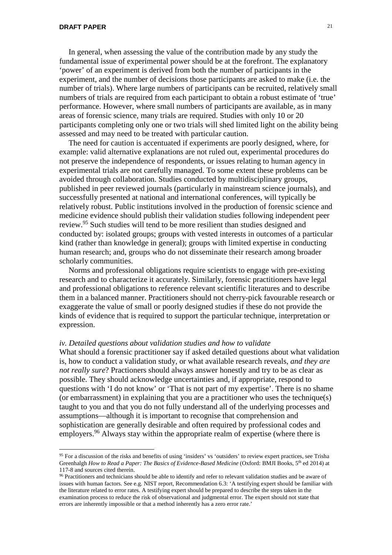In general, when assessing the value of the contribution made by any study the fundamental issue of experimental power should be at the forefront. The explanatory 'power' of an experiment is derived from both the number of participants in the experiment, and the number of decisions those participants are asked to make (i.e. the number of trials). Where large numbers of participants can be recruited, relatively small numbers of trials are required from each participant to obtain a robust estimate of 'true' performance. However, where small numbers of participants are available, as in many areas of forensic science, many trials are required. Studies with only 10 or 20 participants completing only one or two trials will shed limited light on the ability being assessed and may need to be treated with particular caution.

The need for caution is accentuated if experiments are poorly designed, where, for example: valid alternative explanations are not ruled out, experimental procedures do not preserve the independence of respondents, or issues relating to human agency in experimental trials are not carefully managed. To some extent these problems can be avoided through collaboration. Studies conducted by multidisciplinary groups, published in peer reviewed journals (particularly in mainstream science journals), and successfully presented at national and international conferences, will typically be relatively robust. Public institutions involved in the production of forensic science and medicine evidence should publish their validation studies following independent peer review.<sup>95</sup> Such studies will tend to be more resilient than studies designed and conducted by: isolated groups; groups with vested interests in outcomes of a particular kind (rather than knowledge in general); groups with limited expertise in conducting human research; and, groups who do not disseminate their research among broader scholarly communities.

Norms and professional obligations require scientists to engage with pre-existing research and to characterize it accurately. Similarly, forensic practitioners have legal and professional obligations to reference relevant scientific literatures and to describe them in a balanced manner. Practitioners should not cherry-pick favourable research or exaggerate the value of small or poorly designed studies if these do not provide the kinds of evidence that is required to support the particular technique, interpretation or expression.

## *iv. Detailed questions about validation studies and how to validate*

What should a forensic practitioner say if asked detailed questions about what validation is, how to conduct a validation study, or what available research reveals, *and they are not really sure*? Practioners should always answer honestly and try to be as clear as possible. They should acknowledge uncertainties and, if appropriate, respond to questions with 'I do not know' or 'That is not part of my expertise'. There is no shame (or embarrassment) in explaining that you are a practitioner who uses the technique(s) taught to you and that you do not fully understand all of the underlying processes and assumptions—although it is important to recognise that comprehension and sophistication are generally desirable and often required by professional codes and employers.<sup>96</sup> Always stay within the appropriate realm of expertise (where there is

<sup>&</sup>lt;sup>95</sup> For a discussion of the risks and benefits of using 'insiders' vs 'outsiders' to review expert practices, see Trisha Greenhalgh *How to Read a Paper: The Basics of Evidence-Based Medicine* (Oxford: BMJI Books, 5th ed 2014) at 117-8 and sources cited therein.

<sup>&</sup>lt;sup>96</sup> Practitioners and technicians should be able to identify and refer to relevant validation studies and be aware of issues with human factors. See e.g. NIST report, Recommendation 6.3: 'A testifying expert should be familiar with the literature related to error rates. A testifying expert should be prepared to describe the steps taken in the examination process to reduce the risk of observational and judgmental error. The expert should not state that errors are inherently impossible or that a method inherently has a zero error rate.'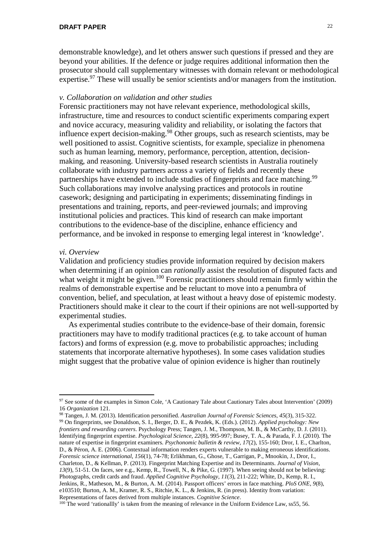demonstrable knowledge), and let others answer such questions if pressed and they are beyond your abilities. If the defence or judge requires additional information then the prosecutor should call supplementary witnesses with domain relevant or methodological expertise.<sup>97</sup> These will usually be senior scientists and/or managers from the institution.

## *v. Collaboration on validation and other studies*

Forensic practitioners may not have relevant experience, methodological skills, infrastructure, time and resources to conduct scientific experiments comparing expert and novice accuracy, measuring validity and reliability, or isolating the factors that influence expert decision-making.<sup>98</sup> Other groups, such as research scientists, may be well positioned to assist. Cognitive scientists, for example, specialize in phenomena such as human learning, memory, performance, perception, attention, decisionmaking, and reasoning. University-based research scientists in Australia routinely collaborate with industry partners across a variety of fields and recently these partnerships have extended to include studies of fingerprints and face matching.<sup>99</sup> Such collaborations may involve analysing practices and protocols in routine casework; designing and participating in experiments; disseminating findings in presentations and training, reports, and peer-reviewed journals; and improving institutional policies and practices. This kind of research can make important contributions to the evidence-base of the discipline, enhance efficiency and performance, and be invoked in response to emerging legal interest in 'knowledge'.

## *vi. Overview*

Validation and proficiency studies provide information required by decision makers when determining if an opinion can *rationally* assist the resolution of disputed facts and what weight it might be given.<sup>100</sup> Forensic practitioners should remain firmly within the realms of demonstrable expertise and be reluctant to move into a penumbra of convention, belief, and speculation, at least without a heavy dose of epistemic modesty. Practitioners should make it clear to the court if their opinions are not well-supported by experimental studies.

As experimental studies contribute to the evidence-base of their domain, forensic practitioners may have to modify traditional practices (e.g. to take account of human factors) and forms of expression (e.g. move to probabilistic approaches; including statements that incorporate alternative hypotheses). In some cases validation studies might suggest that the probative value of opinion evidence is higher than routinely

<sup>98</sup> Tangen, J. M. (2013). Identification personified. *Australian Journal of Forensic Sciences*, *45*(3), 315-322. <sup>99</sup> On fingerprints, see Donaldson, S. I., Berger, D. E., & Pezdek, K. (Eds.). (2012). *Applied psychology: New frontiers and rewarding careers*. Psychology Press; Tangen, J. M., Thompson, M. B., & McCarthy, D. J. (2011). Identifying fingerprint expertise. *Psychological Science*, *22*(8), 995-997; Busey, T. A., & Parada, F. J. (2010). The nature of expertise in fingerprint examiners. *Psychonomic bulletin & review*, *17*(2), 155-160; Dror, I. E., Charlton, D., & Péron, A. E. (2006). Contextual information renders experts vulnerable to making erroneous identifications. *Forensic science international*, *156*(1), 74-78; Erlikhman, G., Ghose, T., Garrigan, P., Mnookin, J., Dror, I., Charleton, D., & Kellman, P. (2013). Fingerprint Matching Expertise and its Determinants. *Journal of Vision*, *13*(9), 51-51. On faces, see e.g., Kemp, R., Towell, N., & Pike, G. (1997). When seeing should not be believing: Photographs, credit cards and fraud. *Applied Cognitive Psychology*, *11*(3), 211-222; White, D., Kemp, R. I., Jenkins, R., Matheson, M., & Burton, A. M. (2014). Passport officers' errors in face matching. *PloS ONE*, *9*(8), e103510; Burton, A. M., Kramer, R. S., Ritchie, K. L., & Jenkins, R. (in press). Identity from variation: Representations of faces derived from multiple instances. *Cognitive Science*.

<sup>100</sup> The word 'rationallly' is taken from the meaning of relevance in the Uniform Evidence Law, ss55, 56.

<sup>97</sup> See some of the examples in Simon Cole, 'A Cautionary Tale about Cautionary Tales about Intervention' (2009) 16 *Organization* 121.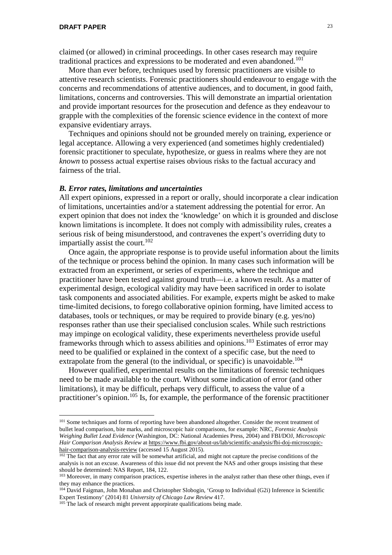claimed (or allowed) in criminal proceedings. In other cases research may require traditional practices and expressions to be moderated and even abandoned. 101

More than ever before, techniques used by forensic practitioners are visible to attentive research scientists. Forensic practitioners should endeavour to engage with the concerns and recommendations of attentive audiences, and to document, in good faith, limitations, concerns and controversies. This will demonstrate an impartial orientation and provide important resources for the prosecution and defence as they endeavour to grapple with the complexities of the forensic science evidence in the context of more expansive evidentiary arrays.

Techniques and opinions should not be grounded merely on training, experience or legal acceptance. Allowing a very experienced (and sometimes highly credentialed) forensic practitioner to speculate, hypothesize, or guess in realms where they are not *known* to possess actual expertise raises obvious risks to the factual accuracy and fairness of the trial.

## *B. Error rates, limitations and uncertainties*

All expert opinions, expressed in a report or orally, should incorporate a clear indication of limitations, uncertainties and/or a statement addressing the potential for error. An expert opinion that does not index the 'knowledge' on which it is grounded and disclose known limitations is incomplete. It does not comply with admissibility rules, creates a serious risk of being misunderstood, and contravenes the expert's overriding duty to impartially assist the court.<sup>102</sup>

Once again, the appropriate response is to provide useful information about the limits of the technique or process behind the opinion. In many cases such information will be extracted from an experiment, or series of experiments, where the technique and practitioner have been tested against ground truth—i.e. a known result. As a matter of experimental design, ecological validity may have been sacrificed in order to isolate task components and associated abilities. For example, experts might be asked to make time-limited decisions, to forego collaborative opinion forming, have limited access to databases, tools or techniques, or may be required to provide binary (e.g. yes/no) responses rather than use their specialised conclusion scales. While such restrictions may impinge on ecological validity, these experiments nevertheless provide useful frameworks through which to assess abilities and opinions.<sup>103</sup> Estimates of error may need to be qualified or explained in the context of a specific case, but the need to extrapolate from the general (to the individual, or specific) is unavoidable.<sup>104</sup>

However qualified, experimental results on the limitations of forensic techniques need to be made available to the court. Without some indication of error (and other limitations), it may be difficult, perhaps very difficult, to assess the value of a practitioner's opinion.<sup>105</sup> Is, for example, the performance of the forensic practitioner

<sup>&</sup>lt;sup>101</sup> Some techniques and forms of reporting have been abandoned altogether. Consider the recent treatment of bullet lead comparison, bite marks, and microscopic hair comparisons, for example: NRC, *Forensic Analysis Weighing Bullet Lead Evidence* (Washington, DC: National Academies Press, 2004) and FBI/DOJ, *Microscopic Hair Comparison Analysis Review* a[t https://www.fbi.gov/about-us/lab/scientific-analysis/fbi-doj-microscopic](https://www.fbi.gov/about-us/lab/scientific-analysis/fbi-doj-microscopic-hair-comparison-analysis-review)[hair-comparison-analysis-review](https://www.fbi.gov/about-us/lab/scientific-analysis/fbi-doj-microscopic-hair-comparison-analysis-review) (accessed 15 August 2015).

<sup>&</sup>lt;sup>102</sup> The fact that any error rate will be somewhat artificial, and might not capture the precise conditions of the analysis is not an excuse. Awareness of this issue did not prevent the NAS and other groups insisting that these should be determined: NAS Report, 184, 122.

<sup>&</sup>lt;sup>103</sup> Moreover, in many comparison practices, expertise inheres in the analyst rather than these other things, even if they may enhance the practices.

<sup>104</sup> David Faigman, John Monahan and Christopher Slobogin, 'Group to Individual (G2i) Inference in Scientific Expert Testimony' (2014) 81 *University of Chicago Law Review* 417.

<sup>&</sup>lt;sup>105</sup> The lack of research might prevent apporpirate qualifications being made.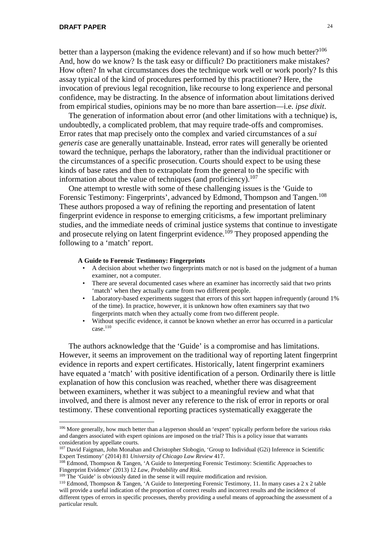better than a layperson (making the evidence relevant) and if so how much better $?^{106}$ And, how do we know? Is the task easy or difficult? Do practitioners make mistakes? How often? In what circumstances does the technique work well or work poorly? Is this assay typical of the kind of procedures performed by this practitioner? Here, the invocation of previous legal recognition, like recourse to long experience and personal confidence, may be distracting. In the absence of information about limitations derived from empirical studies, opinions may be no more than bare assertion—i.e. *ipse dixit*.

The generation of information about error (and other limitations with a technique) is, undoubtedly, a complicated problem, that may require trade-offs and compromises. Error rates that map precisely onto the complex and varied circumstances of a *sui generis* case are generally unattainable. Instead, error rates will generally be oriented toward the technique, perhaps the laboratory, rather than the individual practitioner or the circumstances of a specific prosecution. Courts should expect to be using these kinds of base rates and then to extrapolate from the general to the specific with information about the value of techniques (and proficiency). 107

One attempt to wrestle with some of these challenging issues is the 'Guide to Forensic Testimony: Fingerprints', advanced by Edmond, Thompson and Tangen.<sup>108</sup> These authors proposed a way of refining the reporting and presentation of latent fingerprint evidence in response to emerging criticisms, a few important preliminary studies, and the immediate needs of criminal justice systems that continue to investigate and prosecute relying on latent fingerprint evidence.<sup>109</sup> They proposed appending the following to a 'match' report.

#### **A Guide to Forensic Testimony: Fingerprints**

- A decision about whether two fingerprints match or not is based on the judgment of a human examiner, not a computer.
- There are several documented cases where an examiner has incorrectly said that two prints 'match' when they actually came from two different people.
- Laboratory-based experiments suggest that errors of this sort happen infrequently (around 1% of the time). In practice, however, it is unknown how often examiners say that two fingerprints match when they actually come from two different people.
- Without specific evidence, it cannot be known whether an error has occurred in a particular case.<sup>110</sup>

The authors acknowledge that the 'Guide' is a compromise and has limitations. However, it seems an improvement on the traditional way of reporting latent fingerprint evidence in reports and expert certificates. Historically, latent fingerprint examiners have equated a 'match' with positive identification of a person. Ordinarily there is little explanation of how this conclusion was reached, whether there was disagreement between examiners, whether it was subject to a meaningful review and what that involved, and there is almost never any reference to the risk of error in reports or oral testimony. These conventional reporting practices systematically exaggerate the

<sup>&</sup>lt;sup>106</sup> More generally, how much better than a layperson should an 'expert' typically perform before the various risks and dangers associated with expert opinions are imposed on the trial? This is a policy issue that warrants consideration by appellate courts.

<sup>107</sup> David Faigman, John Monahan and Christopher Slobogin, 'Group to Individual (G2i) Inference in Scientific Expert Testimony' (2014) 81 *University of Chicago Law Review* 417.

<sup>&</sup>lt;sup>108</sup> Edmond, Thompson & Tangen, 'A Guide to Interpreting Forensic Testimony: Scientific Approaches to Fingerprint Evidence' (2013) 12 *Law, Probability and Risk*.

<sup>&</sup>lt;sup>109</sup> The 'Guide' is obviously dated in the sense it will require modification and revision.

<sup>110</sup> Edmond, Thompson & Tangen, 'A Guide to Interpreting Forensic Testimony, 11. In many cases a 2 x 2 table will provide a useful indication of the proportion of correct results and incorrect results and the incidence of different types of errors in specific processes, thereby providing a useful means of approaching the assessment of a particular result.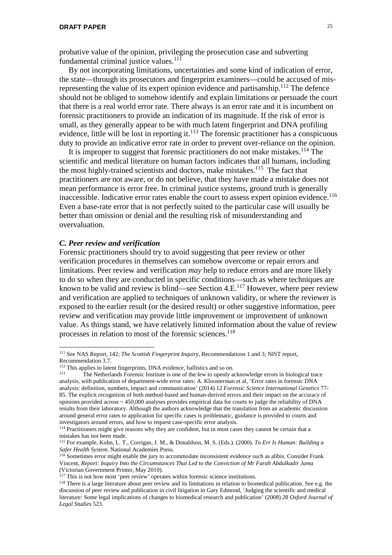probative value of the opinion, privileging the prosecution case and subverting fundamental criminal justice values.<sup>111</sup>

By not incorporating limitations, uncertainties and some kind of indication of error, the state—through its prosecutors and fingerprint examiners—could be accused of misrepresenting the value of its expert opinion evidence and partisanship.<sup>112</sup> The defence should not be obliged to somehow identify and explain limitations or persuade the court that there is a real world error rate. There always is an error rate and it is incumbent on forensic practitioners to provide an indication of its magnitude. If the risk of error is small, as they generally appear to be with much latent fingerprint and DNA profiling evidence, little will be lost in reporting it.<sup>113</sup> The forensic practitioner has a conspicuous duty to provide an indicative error rate in order to prevent over-reliance on the opinion.

It is improper to suggest that forensic practitioners do not make mistakes.<sup>114</sup> The scientific and medical literature on human factors indicates that all humans, including the most highly-trained scientists and doctors, make mistakes.<sup>115</sup> The fact that practitioners are not aware, or do not believe, that they have made a mistake does not mean performance is error free. In criminal justice systems, ground truth is generally inaccessible. Indicative error rates enable the court to assess expert opinion evidence.<sup>116</sup> Even a base-rate error that is not perfectly suited to the particular case will usually be better than omission or denial and the resulting risk of misunderstanding and overvaluation.

## *C. Peer review and verification*

Forensic practitioners should try to avoid suggesting that peer review or other verification procedures in themselves can somehow overcome or repair errors and limitations. Peer review and verification *may* help to reduce errors and are more likely to do so when they are conducted in specific conditions—such as where techniques are known to be valid and review is blind—see Section 4.E.<sup>117</sup> However, where peer review and verification are applied to techniques of unknown validity, or where the reviewer is exposed to the earlier result (or the desired result) or other suggestive information, peer review and verification may provide little improvement or improvement of unknown value. As things stand, we have relatively limited information about the value of review processes in relation to most of the forensic sciences.<sup>118</sup>

<sup>111</sup> See NAS Report, 142; *The Scottish Fingerprint Inquiry*, Recommendations 1 and 3; NIST report, Recommendation 3.7.

<sup>&</sup>lt;sup>112</sup> This applies to latent fingerprints, DNA evidence, ballistics and so on.  $\frac{113}{113}$  The Netherlande Estennia Institute is one of the few to enough a

The Netherlands Forensic Institute is one of the few to openly acknowledge errors in biological trace analysis, with publication of department-wide error rates: A. Kloosterman et al, 'Error rates in forensic DNA analysis: definition, numbers, impact and communication' (2014) 12 *Forensic Science International Genetics* 77- 85. The explicit recognition of both method-based and human-derived errors and their impact on the accuracy of opinions provided across ~ 450,000 analyses provides empirical data for courts to judge the reliability of DNA results from their laboratory. Although the authors acknowledge that the translation from an academic discussion around general error rates to application for specific cases is problematic, guidance is provided to courts and

 $114$  Practitioners might give reasons why they are confident, but in most cases they cannot be certain that a mistakes has not been made.

<sup>115</sup> For example, Kohn, L. T., Corrigan, J. M., & Donaldson, M. S. (Eds.). (2000). *To Err Is Human: Building a Safer Health System*. National Academies Press.

<sup>&</sup>lt;sup>116</sup> Sometimes error might enable the jury to accommodate inconsistent evidence such as alibis. Consider Frank Vincent, *Report: Inquiry Into the Circumstances That Led to the Conviction of Mr Farah Abdulkadir Jama*  (Victorian Government Printer, May 2010).

<sup>&</sup>lt;sup>117</sup> This is not how most 'peer review' operates within forensic science institutions.

<sup>&</sup>lt;sup>118</sup> There is a large literature about peer review and its limitations in relation to biomedical publication. See e.g. the discussion of peer review and publication in civil litigation in Gary Edmond, 'Judging the scientific and medical literature: Some legal implications of changes to biomedical research and publication' (2008) 28 *Oxford Journal of Legal Studies* 523.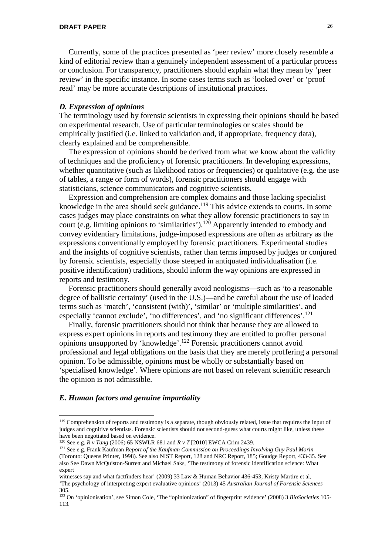Currently, some of the practices presented as 'peer review' more closely resemble a kind of editorial review than a genuinely independent assessment of a particular process or conclusion. For transparency, practitioners should explain what they mean by 'peer review' in the specific instance. In some cases terms such as 'looked over' or 'proof read' may be more accurate descriptions of institutional practices.

## *D. Expression of opinions*

The terminology used by forensic scientists in expressing their opinions should be based on experimental research. Use of particular terminologies or scales should be empirically justified (i.e. linked to validation and, if appropriate, frequency data), clearly explained and be comprehensible.

The expression of opinions should be derived from what we know about the validity of techniques and the proficiency of forensic practitioners. In developing expressions, whether quantitative (such as likelihood ratios or frequencies) or qualitative (e.g. the use of tables, a range or form of words), forensic practitioners should engage with statisticians, science communicators and cognitive scientists.

Expression and comprehension are complex domains and those lacking specialist knowledge in the area should seek guidance.<sup>119</sup> This advice extends to courts. In some cases judges may place constraints on what they allow forensic practitioners to say in court (e.g. limiting opinions to 'similarities').<sup>120</sup> Apparently intended to embody and convey evidentiary limitations, judge-imposed expressions are often as arbitrary as the expressions conventionally employed by forensic practitioners. Experimental studies and the insights of cognitive scientists, rather than terms imposed by judges or conjured by forensic scientists, especially those steeped in antiquated individualisation (i.e. positive identification) traditions, should inform the way opinions are expressed in reports and testimony.

Forensic practitioners should generally avoid neologisms—such as 'to a reasonable degree of ballistic certainty' (used in the U.S.)—and be careful about the use of loaded terms such as 'match', 'consistent (with)', 'similar' or 'multiple similarities', and especially 'cannot exclude', 'no differences', and 'no significant differences'.<sup>121</sup>

Finally, forensic practitioners should not think that because they are allowed to express expert opinions in reports and testimony they are entitled to proffer personal opinions unsupported by 'knowledge'.<sup>122</sup> Forensic practitioners cannot avoid professional and legal obligations on the basis that they are merely proffering a personal opinion. To be admissible, opinions must be wholly or substantially based on 'specialised knowledge'. Where opinions are not based on relevant scientific research the opinion is not admissible.

## *E. Human factors and genuine impartiality*

<sup>&</sup>lt;sup>119</sup> Comprehension of reports and testimony is a separate, though obviously related, issue that requires the input of judges and cognitive scientists. Forensic scientists should not second-guess what courts might like, unless these have been negotiated based on evidence.

<sup>120</sup> See e.g. *R v Tang* (2006) 65 NSWLR 681 and *R v T* [2010] EWCA Crim 2439.

<sup>121</sup> See e.g. Frank Kaufman *Report of the Kaufman Commission on Proceedings Involving Guy Paul Morin* (Toronto: Queens Printer, 1998). See also NIST Report, 128 and NRC Report, 185; Goudge Report, 433-35. See also See Dawn McQuiston-Surrett and Michael Saks, 'The testimony of forensic identification science: What expert

witnesses say and what factfinders hear' (2009) 33 Law & Human Behavior 436-453; Kristy Martire et al, 'The psychology of interpreting expert evaluative opinions' (2013) 45 *Australian Journal of Forensic Sciences* 305.

<sup>122</sup> On 'opinionisation', see Simon Cole, 'The "opinionization" of fingerprint evidence' (2008) 3 *BioSocieties* 105- 113.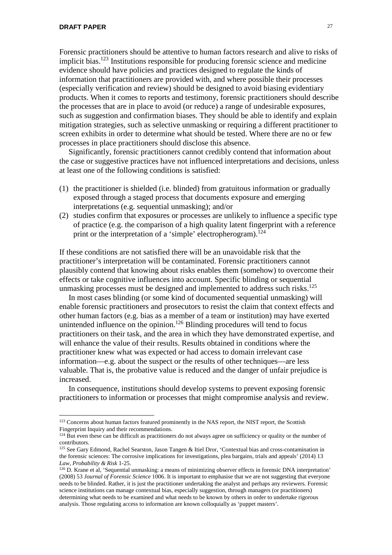Forensic practitioners should be attentive to human factors research and alive to risks of implicit bias.<sup>123</sup> Institutions responsible for producing forensic science and medicine evidence should have policies and practices designed to regulate the kinds of information that practitioners are provided with, and where possible their processes (especially verification and review) should be designed to avoid biasing evidentiary products. When it comes to reports and testimony, forensic practitioners should describe the processes that are in place to avoid (or reduce) a range of undesirable exposures, such as suggestion and confirmation biases. They should be able to identify and explain mitigation strategies, such as selective unmasking or requiring a different practitioner to screen exhibits in order to determine what should be tested. Where there are no or few processes in place practitioners should disclose this absence.

Significantly, forensic practitioners cannot credibly contend that information about the case or suggestive practices have not influenced interpretations and decisions, unless at least one of the following conditions is satisfied:

- (1) the practitioner is shielded (i.e. blinded) from gratuitous information or gradually exposed through a staged process that documents exposure and emerging interpretations (e.g. sequential unmasking); and/or
- (2) studies confirm that exposures or processes are unlikely to influence a specific type of practice (e.g. the comparison of a high quality latent fingerprint with a reference print or the interpretation of a 'simple' electropherogram).<sup>124</sup>

If these conditions are not satisfied there will be an unavoidable risk that the practitioner's interpretation will be contaminated. Forensic practitioners cannot plausibly contend that knowing about risks enables them (somehow) to overcome their effects or take cognitive influences into account. Specific blinding or sequential unmasking processes must be designed and implemented to address such risks.<sup>125</sup>

In most cases blinding (or some kind of documented sequential unmasking) will enable forensic practitioners and prosecutors to resist the claim that context effects and other human factors (e.g. bias as a member of a team or institution) may have exerted unintended influence on the opinion.<sup>126</sup> Blinding procedures will tend to focus practitioners on their task, and the area in which they have demonstrated expertise, and will enhance the value of their results. Results obtained in conditions where the practitioner knew what was expected or had access to domain irrelevant case information—e.g. about the suspect or the results of other techniques—are less valuable. That is, the probative value is reduced and the danger of unfair prejudice is increased.

In consequence, institutions should develop systems to prevent exposing forensic practitioners to information or processes that might compromise analysis and review.

<sup>&</sup>lt;sup>123</sup> Concerns about human factors featured prominently in the NAS report, the NIST report, the Scottish Fingerprint Inquiry and their recommendations.

<sup>&</sup>lt;sup>124</sup> But even these can be difficult as practitioners do not always agree on sufficiency or quality or the number of contributors.

<sup>125</sup> See Gary Edmond, Rachel Searston, Jason Tangen & Itiel Dror, 'Contextual bias and cross-contamination in the forensic sciences: The corrosive implications for investigations, plea bargains, trials and appeals' (2014) 13 *Law, Probability & Risk* 1-25.

<sup>126</sup> D. Krane et al, 'Sequential unmasking: a means of minimizing observer effects in forensic DNA interpretation' (2008) 53 *Journal of Forensic Science* 1006. It is important to emphasise that we are not suggesting that everyone needs to be blinded. Rather, it is just the practitioner undertaking the analyst and perhaps any reviewers. Forensic science institutions can manage contextual bias, especially suggestion, through managers (or practitioners) determining what needs to be examined and what needs to be known by others in order to undertake rigorous analysis. Those regulating access to information are known colloquially as 'puppet masters'.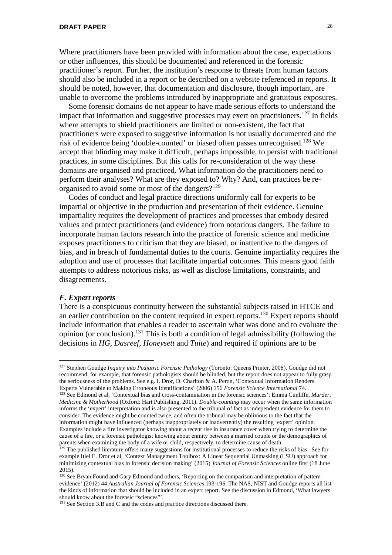Where practitioners have been provided with information about the case, expectations or other influences, this should be documented and referenced in the forensic practitioner's report. Further, the institution's response to threats from human factors should also be included in a report or be described on a website referenced in reports. It should be noted, however, that documentation and disclosure, though important, are unable to overcome the problems introduced by inappropriate and gratuitous exposures.

Some forensic domains do not appear to have made serious efforts to understand the impact that information and suggestive processes may exert on practitioners.<sup>127</sup> In fields where attempts to shield practitioners are limited or non-existent, the fact that practitioners were exposed to suggestive information is not usually documented and the risk of evidence being 'double-counted' or biased often passes unrecognised.128 We accept that blinding may make it difficult, perhaps impossible, to persist with traditional practices, in some disciplines. But this calls for re-consideration of the way these domains are organised and practiced. What information do the practitioners need to perform their analyses? What are they exposed to? Why? And, can practices be reorganised to avoid some or most of the dangers?<sup>129</sup>

Codes of conduct and legal practice directions uniformly call for experts to be impartial or objective in the production and presentation of their evidence. Genuine impartiality requires the development of practices and processes that embody desired values and protect practitioners (and evidence) from notorious dangers. The failure to incorporate human factors research into the practice of forensic science and medicine exposes practitioners to criticism that they are biased, or inattentive to the dangers of bias, and in breach of fundamental duties to the courts. Genuine impartiality requires the adoption and use of processes that facilitate impartial outcomes. This means good faith attempts to address notorious risks, as well as disclose limitations, constraints, and disagreements.

## *F. Expert reports*

There is a conspicuous continuity between the substantial subjects raised in HTCE and an earlier contribution on the content required in expert reports.<sup>130</sup> Expert reports should include information that enables a reader to ascertain what was done and to evaluate the opinion (or conclusion).<sup>131</sup> This is both a condition of legal admissibility (following the decisions in *HG*, *Dasreef, Honeysett* and *Tuite*) and required if opinions are to be

 <sup>127</sup> Stephen Goudge *Inquiry into Pediatric Forensic Pathology* (Toronto: Queens Printer, 2008). Goudge did not recommend, for example, that forensic pathologists should be blinded, but the report does not appear to fully grasp the seriousness of the problems. See e.g. I. Dror, D. Charlton & A. Peron, 'Contextual Information Renders Experts Vulnerable to Making Erroneous Identifications' (2006) 156 *Forensic Science International* 74.

<sup>128</sup> See Edmond et al, 'Contextual bias and cross-contamination in the forensic sciences'; Emma Cunliffe, *Murder*, *Medicine & Motherhood* (Oxford: Hart Publishing, 2011). *Double-counting* may occur when the same information informs the 'expert' interpretation and is also presented to the tribunal of fact as independent evidence for them to consider. The evidence might be counted twice, and often the tribunal may be oblivious to the fact that the information might have influenced (perhaps inappropriately or inadvertently) the resulting 'expert' opinion. Examples include a fire investigator knowing about a recent rise in insurance cover when trying to determine the cause of a fire, or a forensic pathologist knowing about enmity between a married couple or the demographics of parents when examining the body of a wife or child, respectively, to determine cause of death.

<sup>&</sup>lt;sup>129</sup> The published literature offers many suggestions for institutional processes to reduce the risks of bias. See for example Itiel E. Dror et al, 'Context Management Toolbox: A Linear Sequential Unmasking (LSU) approach for minimizing contextual bias in forensic decision making' (2015) *Journal of Forensic Sciences* online first (18 June 2015).

<sup>&</sup>lt;sup>130</sup> See Bryan Found and Gary Edmond and others, 'Reporting on the comparison and interpretation of pattern evidence' (2012) 44 *Australian Journal of Forensic Sciences* 193-196. The NAS, NIST and Goudge reports all list the kinds of information that should be included in an expert report. See the discussion in Edmond, 'What lawyers should know about the forensic "sciences"'.

<sup>131</sup> See Section 3.B and C and the codes and practice directions discussed there.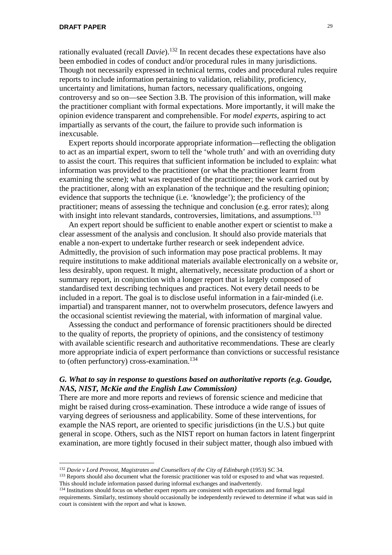rationally evaluated (recall *Davie*).<sup>132</sup> In recent decades these expectations have also been embodied in codes of conduct and/or procedural rules in many jurisdictions. Though not necessarily expressed in technical terms, codes and procedural rules require reports to include information pertaining to validation, reliability, proficiency, uncertainty and limitations, human factors, necessary qualifications, ongoing controversy and so on—see Section 3.B. The provision of this information, will make the practitioner compliant with formal expectations. More importantly, it will make the opinion evidence transparent and comprehensible. For *model experts*, aspiring to act impartially as servants of the court, the failure to provide such information is inexcusable.

Expert reports should incorporate appropriate information—reflecting the obligation to act as an impartial expert, sworn to tell the 'whole truth' and with an overriding duty to assist the court. This requires that sufficient information be included to explain: what information was provided to the practitioner (or what the practitioner learnt from examining the scene); what was requested of the practitioner; the work carried out by the practitioner, along with an explanation of the technique and the resulting opinion; evidence that supports the technique (i.e. 'knowledge'); the proficiency of the practitioner; means of assessing the technique and conclusion (e.g. error rates); along with insight into relevant standards, controversies, limitations, and assumptions.<sup>133</sup>

An expert report should be sufficient to enable another expert or scientist to make a clear assessment of the analysis and conclusion. It should also provide materials that enable a non-expert to undertake further research or seek independent advice. Admittedly, the provision of such information may pose practical problems. It may require institutions to make additional materials available electronically on a website or, less desirably, upon request. It might, alternatively, necessitate production of a short or summary report, in conjunction with a longer report that is largely composed of standardised text describing techniques and practices. Not every detail needs to be included in a report. The goal is to disclose useful information in a fair-minded (i.e. impartial) and transparent manner, not to overwhelm prosecutors, defence lawyers and the occasional scientist reviewing the material, with information of marginal value.

Assessing the conduct and performance of forensic practitioners should be directed to the quality of reports, the propriety of opinions, and the consistency of testimony with available scientific research and authoritative recommendations. These are clearly more appropriate indicia of expert performance than convictions or successful resistance to (often perfunctory) cross-examination. $134$ 

# *G. What to say in response to questions based on authoritative reports (e.g. Goudge, NAS, NIST, McKie and the English Law Commission)*

There are more and more reports and reviews of forensic science and medicine that might be raised during cross-examination. These introduce a wide range of issues of varying degrees of seriousness and applicability. Some of these interventions, for example the NAS report, are oriented to specific jurisdictions (in the U.S.) but quite general in scope. Others, such as the NIST report on human factors in latent fingerprint examination, are more tightly focused in their subject matter, though also imbued with

<sup>132</sup> *Davie v Lord Provost, Magistrates and Counsellors of the City of Edinburgh* (1953) SC 34.

<sup>&</sup>lt;sup>133</sup> Reports should also document what the forensic practitioner was told or exposed to and what was requested. This should include information passed during informal exchanges and inadvertently.

<sup>&</sup>lt;sup>134</sup> Institutions should focus on whether expert reports are consistent with expectations and formal legal requirements. Similarly, testimony should occasionally be independently reviewed to determine if what was said in court is consistent with the report and what is known.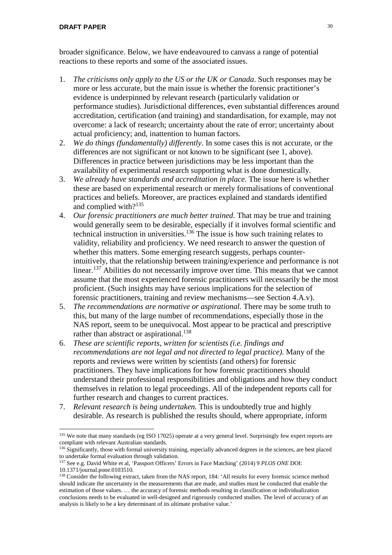broader significance. Below, we have endeavoured to canvass a range of potential reactions to these reports and some of the associated issues.

- 1. *The criticisms only apply to the US or the UK or Canada*. Such responses may be more or less accurate, but the main issue is whether the forensic practitioner's evidence is underpinned by relevant research (particularly validation or performance studies). Jurisdictional differences, even substantial differences around accreditation, certification (and training) and standardisation, for example, may not overcome: a lack of research; uncertainty about the rate of error; uncertainty about actual proficiency; and, inattention to human factors.
- 2. *We do things (fundamentally) differently*. In some cases this is not accurate, or the differences are not significant or not known to be significant (see 1, above). Differences in practice between jurisdictions may be less important than the availability of experimental research supporting what is done domestically.
- 3. *We already have standards and accreditation in place.* The issue here is whether these are based on experimental research or merely formalisations of conventional practices and beliefs. Moreover, are practices explained and standards identified and complied with?<sup>135</sup>
- 4. *Our forensic practitioners are much better trained.* That may be true and training would generally seem to be desirable, especially if it involves formal scientific and technical instruction in universities. <sup>136</sup> The issue is how such training relates to validity, reliability and proficiency. We need research to answer the question of whether this matters. Some emerging research suggests, perhaps counterintuitively, that the relationship between training/experience and performance is not linear.<sup>137</sup> Abilities do not necessarily improve over time. This means that we cannot assume that the most experienced forensic practitioners will necessarily be the most proficient. (Such insights may have serious implications for the selection of forensic practitioners, training and review mechanisms—see Section 4.A.v).
- 5. *The recommendations are normative or aspirational.* There may be some truth to this, but many of the large number of recommendations, especially those in the NAS report, seem to be unequivocal. Most appear to be practical and prescriptive rather than abstract or aspirational.<sup>138</sup>
- 6. *These are scientific reports, written for scientists (i.e. findings and recommendations are not legal and not directed to legal practice)*. Many of the reports and reviews were written by scientists (and others) for forensic practitioners. They have implications for how forensic practitioners should understand their professional responsibilities and obligations and how they conduct themselves in relation to legal proceedings. All of the independent reports call for further research and changes to current practices.
- 7. *Relevant research is being undertaken.* This is undoubtedly true and highly desirable. As research is published the results should, where appropriate, inform

<sup>&</sup>lt;sup>135</sup> We note that many standards (eg ISO 17025) operate at a very general level. Surprisingly few expert reports are compliant with relevant Australian standards.

<sup>&</sup>lt;sup>136</sup> Significantly, those with formal university training, especially advanced degrees in the sciences, are best placed to undertake formal evaluation through validation.

<sup>137</sup> See e.g. David White et al, 'Passport Officers' Errors in Face Matching' (2014) 9 *PLOS ONE* DOI: 10.1371/journal.pone.0103510*.* 

<sup>&</sup>lt;sup>138</sup> Consider the following extract, taken from the NAS report, 184: 'All results for every forensic science method should indicate the uncertainty in the measurements that are made, and studies must be conducted that enable the estimation of those values. … the accuracy of forensic methods resulting in classification or individualization conclusions needs to be evaluated in well-designed and rigorously conducted studies. The level of accuracy of an analysis is likely to be a key determinant of its ultimate probative value.'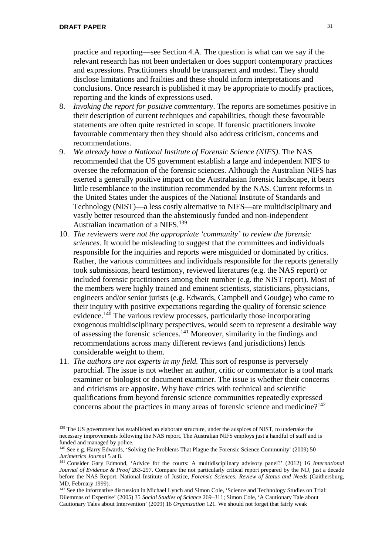practice and reporting—see Section 4.A. The question is what can we say if the relevant research has not been undertaken or does support contemporary practices and expressions. Practitioners should be transparent and modest. They should disclose limitations and frailties and these should inform interpretations and conclusions. Once research is published it may be appropriate to modify practices, reporting and the kinds of expressions used.

- 8. *Invoking the report for positive commentary*. The reports are sometimes positive in their description of current techniques and capabilities, though these favourable statements are often quite restricted in scope. If forensic practitioners invoke favourable commentary then they should also address criticism, concerns and recommendations.
- 9. *We already have a National Institute of Forensic Science (NIFS)*. The NAS recommended that the US government establish a large and independent NIFS to oversee the reformation of the forensic sciences. Although the Australian NIFS has exerted a generally positive impact on the Australasian forensic landscape, it bears little resemblance to the institution recommended by the NAS. Current reforms in the United States under the auspices of the National Institute of Standards and Technology (NIST)—a less costly alternative to NIFS—are multidisciplinary and vastly better resourced than the abstemiously funded and non-independent Australian incarnation of a NIFS.<sup>139</sup>
- 10. *The reviewers were not the appropriate 'community' to review the forensic sciences.* It would be misleading to suggest that the committees and individuals responsible for the inquiries and reports were misguided or dominated by critics. Rather, the various committees and individuals responsible for the reports generally took submissions, heard testimony, reviewed literatures (e.g. the NAS report) or included forensic practitioners among their number (e.g. the NIST report). Most of the members were highly trained and eminent scientists, statisticians, physicians, engineers and/or senior jurists (e.g. Edwards, Campbell and Goudge) who came to their inquiry with positive expectations regarding the quality of forensic science evidence.<sup>140</sup> The various review processes, particularly those incorporating exogenous multidisciplinary perspectives, would seem to represent a desirable way of assessing the forensic sciences.<sup>141</sup> Moreover, similarity in the findings and recommendations across many different reviews (and jurisdictions) lends considerable weight to them.
- 11. *The authors are not experts in my field.* This sort of response is perversely parochial. The issue is not whether an author, critic or commentator is a tool mark examiner or biologist or document examiner. The issue is whether their concerns and criticisms are apposite. Why have critics with technical and scientific qualifications from beyond forensic science communities repeatedly expressed concerns about the practices in many areas of forensic science and medicine?<sup>142</sup>

<sup>&</sup>lt;sup>139</sup> The US government has established an elaborate structure, under the auspices of NIST, to undertake the necessary improvements following the NAS report. The Australian NIFS employs just a handful of staff and is funded and managed by police.

<sup>140</sup> See e.g. Harry Edwards, 'Solving the Problems That Plague the Forensic Science Community' (2009) 50 *Jurimetrics Journal* 5 at 8.

<sup>141</sup> Consider Gary Edmond, 'Advice for the courts: A multidisciplinary advisory panel?' (2012) 16 *International Journal of Evidence & Proof* 263-297. Compare the not particularly critical report prepared by the NIJ, just a decade before the NAS Report: National Institute of Justice, *Forensic Sciences: Review of Status and Needs* (Gaithersburg, MD, February 1999).

<sup>142</sup> See the informative discussion in Michael Lynch and Simon Cole, 'Science and Technology Studies on Trial: Dilemmas of Expertise' (2005) 35 *Social Studies of Science* 269–311; Simon Cole, 'A Cautionary Tale about Cautionary Tales about Intervention' (2009) 16 *Organization* 121. We should not forget that fairly weak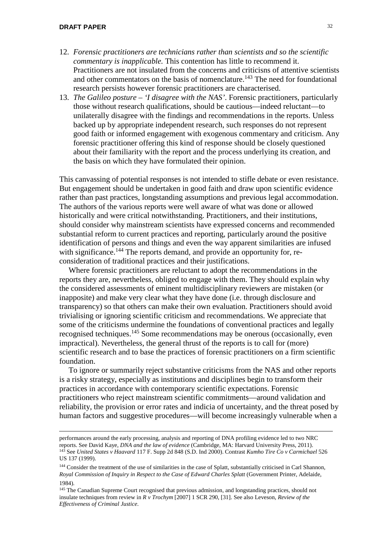- 12. *Forensic practitioners are technicians rather than scientists and so the scientific commentary is inapplicable.* This contention has little to recommend it. Practitioners are not insulated from the concerns and criticisns of attentive scientists and other commentators on the basis of nomenclature.<sup>143</sup> The need for foundational research persists however forensic practitioners are characterised.
- 13. *The Galileo posture – 'I disagree with the NAS'*. Forensic practitioners, particularly those without research qualifications, should be cautious—indeed reluctant—to unilaterally disagree with the findings and recommendations in the reports. Unless backed up by appropriate independent research, such responses do not represent good faith or informed engagement with exogenous commentary and criticism. Any forensic practitioner offering this kind of response should be closely questioned about their familiarity with the report and the process underlying its creation, and the basis on which they have formulated their opinion.

This canvassing of potential responses is not intended to stifle debate or even resistance. But engagement should be undertaken in good faith and draw upon scientific evidence rather than past practices, longstanding assumptions and previous legal accommodation. The authors of the various reports were well aware of what was done or allowed historically and were critical notwithstanding. Practitioners, and their institutions, should consider why mainstream scientists have expressed concerns and recommended substantial reform to current practices and reporting, particularly around the positive identification of persons and things and even the way apparent similarities are infused with significance.<sup>144</sup> The reports demand, and provide an opportunity for, reconsideration of traditional practices and their justifications.

Where forensic practitioners are reluctant to adopt the recommendations in the reports they are, nevertheless, obliged to engage with them. They should explain why the considered assessments of eminent multidisciplinary reviewers are mistaken (or inapposite) and make very clear what they have done (i.e. through disclosure and transparency) so that others can make their own evaluation. Practitioners should avoid trivialising or ignoring scientific criticism and recommendations. We appreciate that some of the criticisms undermine the foundations of conventional practices and legally recognised techniques.<sup>145</sup> Some recommendations may be onerous (occasionally, even impractical). Nevertheless, the general thrust of the reports is to call for (more) scientific research and to base the practices of forensic practitioners on a firm scientific foundation.

To ignore or summarily reject substantive criticisms from the NAS and other reports is a risky strategy, especially as institutions and disciplines begin to transform their practices in accordance with contemporary scientific expectations. Forensic practitioners who reject mainstream scientific commitments—around validation and reliability, the provision or error rates and indicia of uncertainty, and the threat posed by human factors and suggestive procedures—will become increasingly vulnerable when a

performances around the early processing, analysis and reporting of DNA profiling evidence led to two NRC reports. See David Kaye, *DNA and the law of evidence* (Cambridge, MA: Harvard University Press, 2011). <sup>143</sup> See *United States v Haavard* 117 F. Supp 2d 848 (S.D. Ind 2000). Contrast *Kumho Tire Co v Carmichael* 526 US 137 (1999).

<sup>&</sup>lt;sup>144</sup> Consider the treatment of the use of similarities in the case of Splatt, substantially criticised in Carl Shannon, *[Royal Commission of Inquiry in Respect to the Case of Edward Charles Splatt](http://www.google.com/search?tbo=p&tbm=bks&q=inauthor:%22Royal+Commission+of+Inquiry+in+Respect+to+the+Case+of+Edward+Charles+Splatt+(S.+Aust.)%22)* (Government Printer, Adelaide, [1984\).](http://www.google.com/search?tbo=p&tbm=bks&q=inauthor:%22Royal+Commission+of+Inquiry+in+Respect+to+the+Case+of+Edward+Charles+Splatt+(S.+Aust.)%22)

<sup>&</sup>lt;sup>145</sup> The Canadian Supreme Court recognised that previous admission, and longstanding practices, should not insulate techniques from review in *R v Trochym* [2007] 1 SCR 290, [31]. See also Leveson, *Review of the Effectiveness of Criminal Justice*.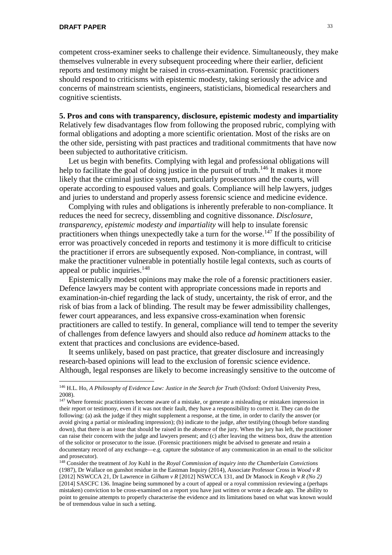competent cross-examiner seeks to challenge their evidence. Simultaneously, they make themselves vulnerable in every subsequent proceeding where their earlier, deficient reports and testimony might be raised in cross-examination. Forensic practitioners should respond to criticisms with epistemic modesty, taking seriously the advice and concerns of mainstream scientists, engineers, statisticians, biomedical researchers and cognitive scientists.

**5. Pros and cons with transparency, disclosure, epistemic modesty and impartiality** Relatively few disadvantages flow from following the proposed rubric, complying with formal obligations and adopting a more scientific orientation. Most of the risks are on the other side, persisting with past practices and traditional commitments that have now been subjected to authoritative criticism.

Let us begin with benefits. Complying with legal and professional obligations will help to facilitate the goal of doing justice in the pursuit of truth.<sup>146</sup> It makes it more likely that the criminal justice system, particularly prosecutors and the courts, will operate according to espoused values and goals. Compliance will help lawyers, judges and juries to understand and properly assess forensic science and medicine evidence.

Complying with rules and obligations is inherently preferable to non-compliance. It reduces the need for secrecy, dissembling and cognitive dissonance. *Disclosure, transparency, epistemic modesty and impartiality* will help to insulate forensic practitioners when things unexpectedly take a turn for the worse.<sup>147</sup> If the possibility of error was proactively conceded in reports and testimony it is more difficult to criticise the practitioner if errors are subsequently exposed. Non-compliance, in contrast, will make the practitioner vulnerable in potentially hostile legal contexts, such as courts of appeal or public inquiries.<sup>148</sup>

Epistemically modest opinions may make the role of a forensic practitioners easier. Defence lawyers may be content with appropriate concessions made in reports and examination-in-chief regarding the lack of study, uncertainty, the risk of error, and the risk of bias from a lack of blinding. The result may be fewer admissibility challenges, fewer court appearances, and less expansive cross-examination when forensic practitioners are called to testify. In general, compliance will tend to temper the severity of challenges from defence lawyers and should also reduce *ad hominem* attacks to the extent that practices and conclusions are evidence-based.

It seems unlikely, based on past practice, that greater disclosure and increasingly research-based opinions will lead to the exclusion of forensic science evidence. Although, legal responses are likely to become increasingly sensitive to the outcome of

<sup>&</sup>lt;sup>146</sup> H.L. Ho, *A Philosophy of Evidence Law: Justice in the Search for Truth* (Oxford: Oxford University Press, 2008).

<sup>&</sup>lt;sup>147</sup> Where forensic practitioners become aware of a mistake, or generate a misleading or mistaken impression in their report or testimony, even if it was not their fault, they have a responsibility to correct it. They can do the following: (a) ask the judge if they might supplement a response, at the time, in order to clarify the answer (or avoid giving a partial or misleading impression); (b) indicate to the judge, after testifying (though before standing down), that there is an issue that should be raised in the absence of the jury. When the jury has left, the practitioner can raise their concern with the judge and lawyers present; and (c) after leaving the witness box, draw the attention of the solicitor or prosecutor to the issue. (Forensic practitioners might be advised to generate and retain a documentary record of any exchange—e.g. capture the substance of any communication in an email to the solicitor and prosecutor).

<sup>148</sup> Consider the treatment of Joy Kuhl in the *Royal Commission of inquiry into the Chamberlain Convictions* (1987), Dr Wallace on gunshot residue in the Eastman Inquiry (2014), Associate Professor Cross in *Wood v R* [2012] NSWCCA 21, Dr Lawrence in *Gilham v R* [2012] NSWCCA 131, and Dr Manock in *Keogh v R (No 2)* [2014] SASCFC 136. Imagine being summoned by a court of appeal or a royal commission reviewing a (perhaps mistaken) conviction to be cross-examined on a report you have just written or wrote a decade ago. The ability to point to genuine attempts to properly characterise the evidence and its limitations based on what was known would be of tremendous value in such a setting.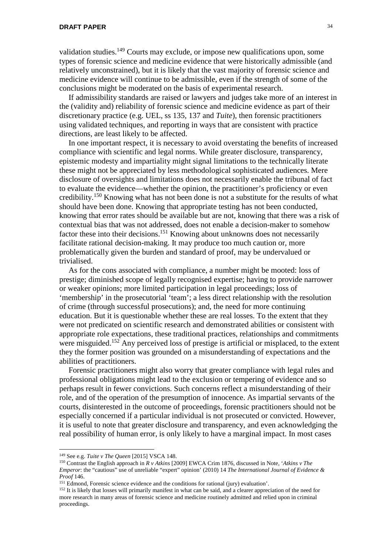validation studies.<sup>149</sup> Courts may exclude, or impose new qualifications upon, some types of forensic science and medicine evidence that were historically admissible (and relatively unconstrained), but it is likely that the vast majority of forensic science and medicine evidence will continue to be admissible, even if the strength of some of the conclusions might be moderated on the basis of experimental research.

If admissibility standards are raised or lawyers and judges take more of an interest in the (validity and) reliability of forensic science and medicine evidence as part of their discretionary practice (e.g. UEL, ss 135, 137 and *Tuite*), then forensic practitioners using validated techniques, and reporting in ways that are consistent with practice directions, are least likely to be affected.

In one important respect, it is necessary to avoid overstating the benefits of increased compliance with scientific and legal norms. While greater disclosure, transparency, epistemic modesty and impartiality might signal limitations to the technically literate these might not be appreciated by less methodological sophisticated audiences. Mere disclosure of oversights and limitations does not necessarily enable the tribunal of fact to evaluate the evidence—whether the opinion, the practitioner's proficiency or even credibility. <sup>150</sup> Knowing what has not been done is not a substitute for the results of what should have been done. Knowing that appropriate testing has not been conducted, knowing that error rates should be available but are not, knowing that there was a risk of contextual bias that was not addressed, does not enable a decision-maker to somehow factor these into their decisions.<sup>151</sup> Knowing about unknowns does not necessarily facilitate rational decision-making. It may produce too much caution or, more problematically given the burden and standard of proof, may be undervalued or trivialised.

As for the cons associated with compliance, a number might be mooted: loss of prestige; diminished scope of legally recognised expertise; having to provide narrower or weaker opinions; more limited participation in legal proceedings; loss of 'membership' in the prosecutorial 'team'; a less direct relationship with the resolution of crime (through successful prosecutions); and, the need for more continuing education. But it is questionable whether these are real losses. To the extent that they were not predicated on scientific research and demonstrated abilities or consistent with appropriate role expectations, these traditional practices, relationships and commitments were misguided.<sup>152</sup> Any perceived loss of prestige is artificial or misplaced, to the extent they the former position was grounded on a misunderstanding of expectations and the abilities of practitioners.

Forensic practitioners might also worry that greater compliance with legal rules and professional obligations might lead to the exclusion or tempering of evidence and so perhaps result in fewer convictions. Such concerns reflect a misunderstanding of their role, and of the operation of the presumption of innocence. As impartial servants of the courts, disinterested in the outcome of proceedings, forensic practitioners should not be especially concerned if a particular individual is not prosecuted or convicted. However, it is useful to note that greater disclosure and transparency, and even acknowledging the real possibility of human error, is only likely to have a marginal impact. In most cases

<sup>149</sup> See e.g. *Tuite v The Queen* [2015] VSCA 148.

<sup>150</sup> Contrast the English approach in *R v Atkins* [2009] EWCA Crim 1876, discussed in Note, '*Atkins v The Emperor*: the "cautious" use of unreliable "expert" opinion' (2010) 14 *The International Journal of Evidence & Proof* 146.

<sup>151</sup> Edmond, Forensic science evidence and the conditions for rational (jury) evaluation'.

<sup>&</sup>lt;sup>152</sup> It is likely that losses will primarily manifest in what can be said, and a clearer appreciation of the need for more research in many areas of forensic science and medicine routinely admitted and relied upon in criminal proceedings.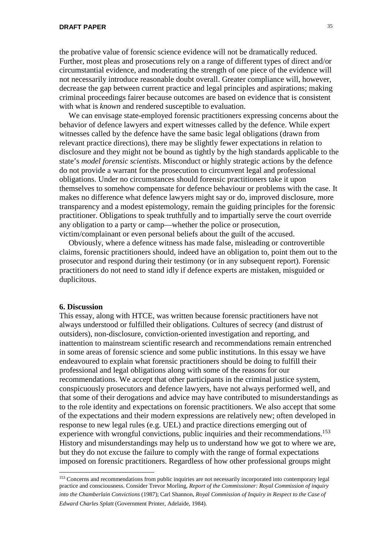the probative value of forensic science evidence will not be dramatically reduced. Further, most pleas and prosecutions rely on a range of different types of direct and/or circumstantial evidence, and moderating the strength of one piece of the evidence will not necessarily introduce reasonable doubt overall. Greater compliance will, however, decrease the gap between current practice and legal principles and aspirations; making criminal proceedings fairer because outcomes are based on evidence that is consistent with what is *known* and rendered susceptible to evaluation.

We can envisage state-employed forensic practitioners expressing concerns about the behavior of defence lawyers and expert witnesses called by the defence. While expert witnesses called by the defence have the same basic legal obligations (drawn from relevant practice directions), there may be slightly fewer expectations in relation to disclosure and they might not be bound as tightly by the high standards applicable to the state's *model forensic scientists*. Misconduct or highly strategic actions by the defence do not provide a warrant for the prosecution to circumvent legal and professional obligations. Under no circumstances should forensic practitioners take it upon themselves to somehow compensate for defence behaviour or problems with the case. It makes no difference what defence lawyers might say or do, improved disclosure, more transparency and a modest epistemology, remain the guiding principles for the forensic practitioner. Obligations to speak truthfully and to impartially serve the court override any obligation to a party or camp—whether the police or prosecution, victim/complainant or even personal beliefs about the guilt of the accused.

Obviously, where a defence witness has made false, misleading or controvertible claims, forensic practitioners should, indeed have an obligation to, point them out to the prosecutor and respond during their testimony (or in any subsequent report). Forensic practitioners do not need to stand idly if defence experts are mistaken, misguided or duplicitous.

## **6. Discussion**

This essay, along with HTCE, was written because forensic practitioners have not always understood or fulfilled their obligations. Cultures of secrecy (and distrust of outsiders), non-disclosure, conviction-oriented investigation and reporting, and inattention to mainstream scientific research and recommendations remain entrenched in some areas of forensic science and some public institutions. In this essay we have endeavoured to explain what forensic practitioners should be doing to fulfill their professional and legal obligations along with some of the reasons for our recommendations. We accept that other participants in the criminal justice system, conspicuously prosecutors and defence lawyers, have not always performed well, and that some of their derogations and advice may have contributed to misunderstandings as to the role identity and expectations on forensic practitioners. We also accept that some of the expectations and their modern expressions are relatively new; often developed in response to new legal rules (e.g. UEL) and practice directions emerging out of experience with wrongful convictions, public inquiries and their recommendations.<sup>153</sup> History and misunderstandings may help us to understand how we got to where we are, but they do not excuse the failure to comply with the range of formal expectations imposed on forensic practitioners. Regardless of how other professional groups might

<sup>&</sup>lt;sup>153</sup> Concerns and recommendations from public inquiries are not necessarily incorporated into contemporary legal practice and consciousness. Consider Trevor Morling, *Report of the Commissioner: Royal Commission of inquiry into the Chamberlain Convictions* (1987); Carl Shannon, *[Royal Commission of Inquiry in Respect to the Case of](http://www.google.com/search?tbo=p&tbm=bks&q=inauthor:%22Royal+Commission+of+Inquiry+in+Respect+to+the+Case+of+Edward+Charles+Splatt+(S.+Aust.)%22)  Edward Charles Splatt* [\(Government Printer, Adelaide, 1984\).](http://www.google.com/search?tbo=p&tbm=bks&q=inauthor:%22Royal+Commission+of+Inquiry+in+Respect+to+the+Case+of+Edward+Charles+Splatt+(S.+Aust.)%22)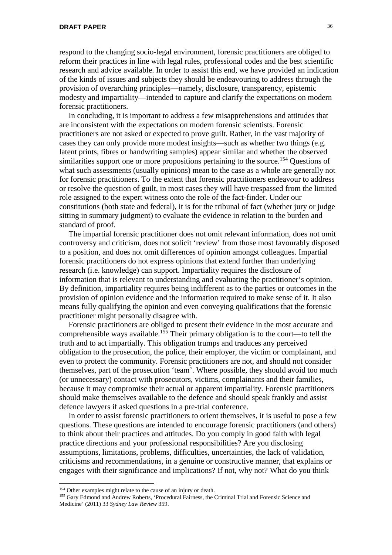respond to the changing socio-legal environment, forensic practitioners are obliged to reform their practices in line with legal rules, professional codes and the best scientific research and advice available. In order to assist this end, we have provided an indication of the kinds of issues and subjects they should be endeavouring to address through the provision of overarching principles—namely, disclosure, transparency, epistemic modesty and impartiality—intended to capture and clarify the expectations on modern forensic practitioners.

In concluding, it is important to address a few misapprehensions and attitudes that are inconsistent with the expectations on modern forensic scientists. Forensic practitioners are not asked or expected to prove guilt. Rather, in the vast majority of cases they can only provide more modest insights—such as whether two things (e.g. latent prints, fibres or handwriting samples) appear similar and whether the observed similarities support one or more propositions pertaining to the source.<sup>154</sup> Questions of what such assessments (usually opinions) mean to the case as a whole are generally not for forensic practitioners. To the extent that forensic practitioners endeavour to address or resolve the question of guilt, in most cases they will have trespassed from the limited role assigned to the expert witness onto the role of the fact-finder. Under our constitutions (both state and federal), it is for the tribunal of fact (whether jury or judge sitting in summary judgment) to evaluate the evidence in relation to the burden and standard of proof.

The impartial forensic practitioner does not omit relevant information, does not omit controversy and criticism, does not solicit 'review' from those most favourably disposed to a position, and does not omit differences of opinion amongst colleagues. Impartial forensic practitioners do not express opinions that extend further than underlying research (i.e. knowledge) can support. Impartiality requires the disclosure of information that is relevant to understanding and evaluating the practitioner's opinion. By definition, impartiality requires being indifferent as to the parties or outcomes in the provision of opinion evidence and the information required to make sense of it. It also means fully qualifying the opinion and even conveying qualifications that the forensic practitioner might personally disagree with.

Forensic practitioners are obliged to present their evidence in the most accurate and comprehensible ways available.<sup>155</sup> Their primary obligation is to the court—to tell the truth and to act impartially. This obligation trumps and traduces any perceived obligation to the prosecution, the police, their employer, the victim or complainant, and even to protect the community. Forensic practitioners are not, and should not consider themselves, part of the prosecution 'team'. Where possible, they should avoid too much (or unnecessary) contact with prosecutors, victims, complainants and their families, because it may compromise their actual or apparent impartiality. Forensic practitioners should make themselves available to the defence and should speak frankly and assist defence lawyers if asked questions in a pre-trial conference.

In order to assist forensic practitioners to orient themselves, it is useful to pose a few questions. These questions are intended to encourage forensic practitioners (and others) to think about their practices and attitudes. Do you comply in good faith with legal practice directions and your professional responsibilities? Are you disclosing assumptions, limitations, problems, difficulties, uncertainties, the lack of validation, criticisms and recommendations, in a genuine or constructive manner, that explains or engages with their significance and implications? If not, why not? What do you think

<sup>&</sup>lt;sup>154</sup> Other examples might relate to the cause of an injury or death.

<sup>155</sup> Gary Edmond and Andrew Roberts, 'Procedural Fairness, the Criminal Trial and Forensic Science and Medicine' (2011) 33 *Sydney Law Review* 359.